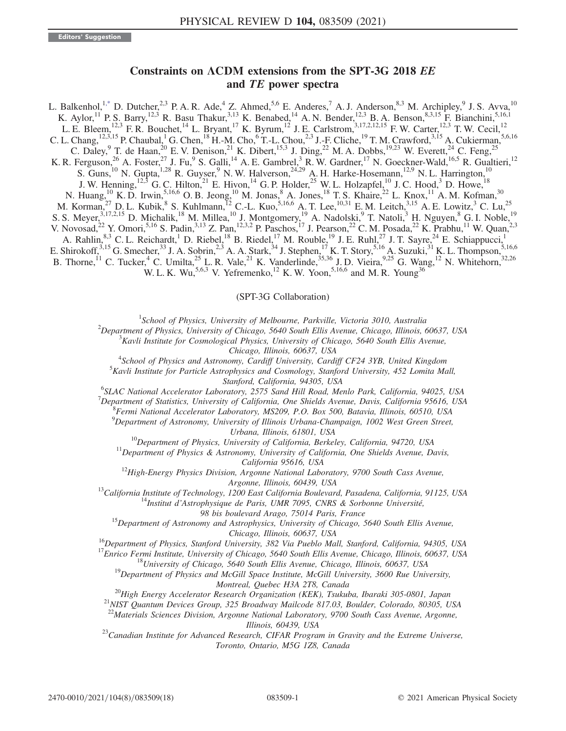## Constraints on ΛCDM extensions from the SPT-3G 2018 EE and TE power spectra

<span id="page-0-0"></span>L. Balkenhol,<sup>[1,\\*](#page-1-0)</sup> D. Dutcher,<sup>2,3</sup> P. A. R. Ade,<sup>4</sup> Z. Ahmed,<sup>5,6</sup> E. Anderes,<sup>7</sup> A. J. Anderson,<sup>8,3</sup> M. Archipley,<sup>9</sup> J. S. Avva,<sup>10</sup> K. Aylor,<sup>11</sup> P. S. Barry,<sup>12,3</sup> R. Basu Thakur,<sup>3,13</sup> K. Benabed,<sup>14</sup> A. N. Bender,<sup>12,3</sup> B. A. Benson,<sup>8,3,15</sup> F. Bianchini,<sup>5,16,1</sup> L. E. Bleem, <sup>12,3</sup> F. R. Bouchet, <sup>14</sup> L. Bryant, <sup>17</sup> K. Byrum, <sup>12</sup> J. E. Carlstrom, <sup>3,17,2,12,15</sup> F. W. Carter, <sup>12,3</sup> T. W. Cecil, <sup>12</sup> C. L. Chang,  $^{12,3,15}$  P. Chaubal,  $^1$  G. Chen,  $^{18}$  H.-M. Cho,  $^6$  T.-L. Chou, $^{2,3}$  J.-F. Cliche,  $^{19}$  T. M. Crawford,  $^{3,15}$  A. Cukierman,  $^{5,6,16}$ C. Daley, <sup>9</sup> T. de Haan,<sup>20</sup> E. V. Denison,<sup>21</sup> K. Dibert,<sup>15,3</sup> J. Ding,<sup>22</sup> M. A. Dobbs,<sup>19,23</sup> W. Everett,<sup>24</sup> C. Feng,<sup>25</sup> K. R. Ferguson,<sup>26</sup> A. Foster,<sup>27</sup> J. Fu,<sup>9</sup> S. Galli,<sup>14</sup> A. E. Gambrel,<sup>3</sup> R. W. Gardner,<sup>17</sup> N. Goeckner-Wald,<sup>16,5</sup> R. Gualtieri,<sup>12</sup> S. Guns,<sup>10</sup> N. Gupta,<sup>1,28</sup> R. Guyser,<sup>9</sup> N. W. Halverson,<sup>24,29</sup> A. H. Harke-Hosemann,<sup>12,9</sup> N. L. Harrington,<sup>10</sup> J. W. Henning,  $^{12,3}$  G. C. Hilton,  $^{21}$  E. Hivon,  $^{14}$  G. P. Holder,  $^{25}$  W. L. Holzapfel,  $^{10}$  J. C. Hood,  $^{3}$  D. Howe,  $^{18}$ N. Huang,<sup>10</sup> K. D. Irwin,<sup>5,16,6</sup> O. B. Jeong,<sup>10</sup> M. Jonas,<sup>8</sup> A. Jones,<sup>18</sup> T. S. Khaire,<sup>22</sup> L. Knox,<sup>11</sup> A. M. Kofman,<sup>30</sup> M. Korman,<sup>27</sup> D. L. Kubik,<sup>8</sup> S. Kuhlmann,<sup>12</sup> C.-L. Kuo,<sup>5,16,6</sup> A. T. Lee,<sup>10,31</sup> E. M. Leitch,<sup>3,15</sup> A. E. Lowitz,<sup>3</sup> C. Lu,<sup>25</sup> S. S. Meyer,<sup>3,17,2,15</sup> D. Michalik,<sup>18</sup> M. Millea,<sup>10</sup> J. Montgomery,<sup>19</sup> A. Nadolski,<sup>9</sup> T. Natoli,<sup>3</sup> H. Nguyen,<sup>8</sup> G. I. Noble,<sup>19</sup> V. Novosad,<sup>22</sup> Y. Omori,<sup>5,16</sup> S. Padin,<sup>3,13</sup> Z. Pan,<sup>12,3,2</sup> P. Paschos,<sup>17</sup> J. Pearson,<sup>22</sup> C. M. Posada,<sup>22</sup> K. Prabhu,<sup>11</sup> W. Quan,<sup>2,3</sup> A. Rahlin,<sup>8,3</sup> C. L. Reichardt,<sup>1</sup> D. Riebel,<sup>18</sup> B. Riedel,<sup>17</sup> M. Rouble,<sup>19</sup> J. E. Ruhl,<sup>27</sup> J. T. Sayre,<sup>24</sup> E. Schiappucci,<sup>1</sup> E. Shirokoff,<sup>3,15</sup> G. Smecher,<sup>33</sup> J. A. Sobrin,<sup>2,3</sup> A. A. Stark,<sup>34</sup> J. Stephen,<sup>17</sup> K. T. Story,<sup>5,16</sup> A. Suzuki,<sup>31</sup> K. L. Thompson,<sup>5,16,6</sup> B. Thorne,<sup>11</sup> C. Tucker,<sup>4</sup> C. Umilta,<sup>25</sup> L. R. Vale,<sup>21</sup> K. Vanderlinde,<sup>35,36</sup> J. D. Vieira,<sup>9,25</sup> G. Wang,<sup>12</sup> N. Whitehorn,<sup>32,26</sup> W. L. K. Wu,<sup>5,6,3</sup> V. Yefremenko,<sup>12</sup> K. W. Yoon,<sup>5,16,6</sup> and M. R. Young<sup>36</sup>

#### (SPT-3G Collaboration)

<sup>1</sup>School of Physics, University of Melbourne, Parkville, Victoria 3010, Australia<sup>2</sup><br><sup>2</sup>Department of Physics, University of Chicago, 5640 South Ellis Ayenue, Chicago, Illinois, A

 $^{2}$ Department of Physics, University of Chicago, 5640 South Ellis Avenue, Chicago, Illinois, 60637, USA

 $K_A^3$ Kavli Institute for Cosmological Physics, University of Chicago, 5640 South Ellis Avenue, Chicago, Illinois, 60637, USA<br><sup>4</sup>Sekeel of Physics and Astronomy Cardiff University Cardi

 $^{4}$ School of Physics and Astronomy, Cardiff University, Cardiff CF24 3YB, United Kingdom<br> $^{5}$ Kayli Institute for Baylighe Astronbysics and Cosmology, Starford University, 452 Lowitz Mo

 $5$ Kavli Institute for Particle Astrophysics and Cosmology, Stanford University, 452 Lomita Mall,

Stanford, California, 94305, USA<br><sup>6</sup>SLAC National Accelerator Laboratory, 2575 Sand Hill Boad, Ma <sup>o</sup>SLAC National Accelerator Laboratory, 2575 Sand Hill Road, Menlo Park, California, 94025, USA<br><sup>7</sup> Department of Statistics, University of California, One Shielda Ayenya, Davis, California, 05616, USA

 $^7$ Department of Statistics, University of California, One Shields Avenue, Davis, California 95616, USA

Fermi National Accelerator Laboratory, MS209, P.O. Box 500, Batavia, Illinois, 60510, USA

 $^{9}$ Department of Astronomy, University of Illinois Urbana-Champaign, 1002 West Green Street,

Urbana, Illinois, 61801, USA<br><sup>10</sup>Department of Physics, University of California, Berkeley, California, 94720, USA<br><sup>11</sup>Department of Physics & Astronomy, University of California, One Shields Avenue, Davis,

California 95616, USA<br><sup>12</sup>High-Energy Physics Division, Argonne National Laboratory, 9700 South Cass Avenue,

Argonne, Illinois, 60439, USA<br><sup>13</sup>California Institute of Technology, 1200 East California Boulevard, Pasadena, California, 91125, USA<br><sup>14</sup>Institut d'Astrophysique de Paris, UMR 7095, CNRS & Sorbonne Université,

98 bis boulevard Arago, 75014 Paris, France<br><sup>15</sup>Department of Astronomy and Astrophysics, University of Chicago, 5640 South Ellis Avenue,

Chicago, Illinois, 60637, USA<br><sup>16</sup>Department of Physics, Stanford University, 382 Via Pueblo Mall, Stanford, California, 94305, USA<br><sup>17</sup>Enrico Fermi Institute, University of Chicago, 5640 South Ellis Avenue, Chicago, Illin

Montreal, Quebec H3A 2T8, Canada<br><sup>20</sup>High Energy Accelerator Research Organization (KEK), Tsukuba, Ibaraki 305-0801, Japan<br><sup>21</sup>NIST Quantum Devices Group, 325 Broadway Mailcode 817.03, Boulder, Colorado, 80305, USA

<sup>22</sup>Materials Sciences Division, Argonne National Laboratory, 9700 South Cass Avenue, Argonne,

Illinois, 60439, USA<br><sup>23</sup>Canadian Institute for Advanced Research, CIFAR Program in Gravity and the Extreme Universe, Toronto, Ontario, M5G 1Z8, Canada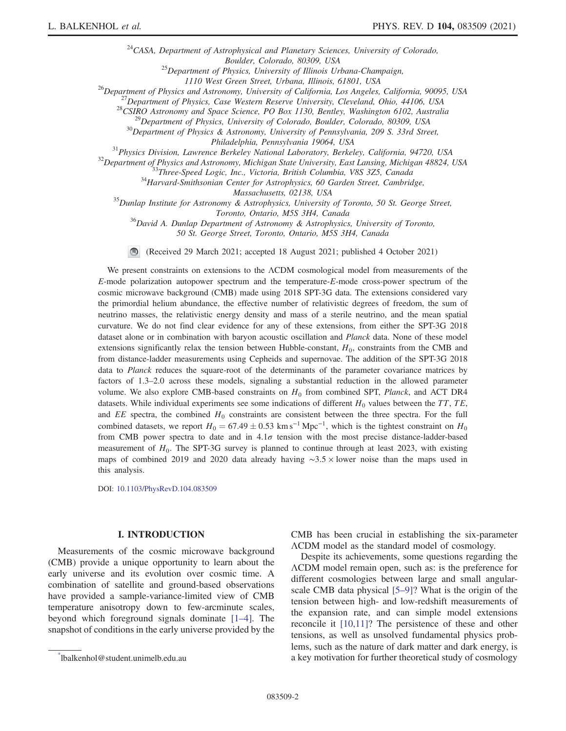$24$ CASA, Department of Astrophysical and Planetary Sciences, University of Colorado, Boulder, Colorado, 80309, USA<br><sup>25</sup>Department of Physics, University of Illinois Urbana-Champaign,

<sup>26</sup>Department of Physics and Astronomy, University of California, Los Angeles, California, 90095, USA<br><sup>26</sup>Department of Physics, Case Western Reserve University, Cleveland, Ohio, 44106, USA<br><sup>27</sup>Department of Physics, Cas

Philadelphia, Pennsylvania 19064, USA<br><sup>31</sup> Physics Division, Lawrence Berkeley National Laboratory, Berkeley, California, 94720, USA<br><sup>32</sup> Department of Physics and Astronomy, Michigan State University, East Lansing, Michig

Massachusetts, 02138, USA<br><sup>35</sup>Dunlap Institute for Astronomy & Astrophysics, University of Toronto, 50 St. George Street,

Toronto, Ontario, M5S 3H4, Canada<br><sup>36</sup>David A. Dunlap Department of Astronomy & Astrophysics, University of Toronto, 50 St. George Street, Toronto, Ontario, M5S 3H4, Canada

(Received 29 March 2021; accepted 18 August 2021; published 4 October 2021)

We present constraints on extensions to the ΛCDM cosmological model from measurements of the E-mode polarization autopower spectrum and the temperature-E-mode cross-power spectrum of the cosmic microwave background (CMB) made using 2018 SPT-3G data. The extensions considered vary the primordial helium abundance, the effective number of relativistic degrees of freedom, the sum of neutrino masses, the relativistic energy density and mass of a sterile neutrino, and the mean spatial curvature. We do not find clear evidence for any of these extensions, from either the SPT-3G 2018 dataset alone or in combination with baryon acoustic oscillation and Planck data. None of these model extensions significantly relax the tension between Hubble-constant,  $H_0$ , constraints from the CMB and from distance-ladder measurements using Cepheids and supernovae. The addition of the SPT-3G 2018 data to Planck reduces the square-root of the determinants of the parameter covariance matrices by factors of 1.3–2.0 across these models, signaling a substantial reduction in the allowed parameter volume. We also explore CMB-based constraints on  $H_0$  from combined SPT, *Planck*, and ACT DR4 datasets. While individual experiments see some indications of different  $H_0$  values between the TT, TE, and  $EE$  spectra, the combined  $H_0$  constraints are consistent between the three spectra. For the full combined datasets, we report  $H_0 = 67.49 \pm 0.53$  km s<sup>-1</sup> Mpc<sup>-1</sup>, which is the tightest constraint on  $H_0$ from CMB power spectra to date and in  $4.1\sigma$  tension with the most precise distance-ladder-based measurement of  $H_0$ . The SPT-3G survey is planned to continue through at least 2023, with existing maps of combined 2019 and 2020 data already having ∼3.5 × lower noise than the maps used in this analysis.

DOI: [10.1103/PhysRevD.104.083509](https://doi.org/10.1103/PhysRevD.104.083509)

## I. INTRODUCTION

Measurements of the cosmic microwave background (CMB) provide a unique opportunity to learn about the early universe and its evolution over cosmic time. A combination of satellite and ground-based observations have provided a sample-variance-limited view of CMB temperature anisotropy down to few-arcminute scales, beyond which foreground signals dominate [1–[4\].](#page-16-0) The snapshot of conditions in the early universe provided by the CMB has been crucial in establishing the six-parameter ΛCDM model as the standard model of cosmology.

Despite its achievements, some questions regarding the ΛCDM model remain open, such as: is the preference for different cosmologies between large and small angularscale CMB data physical [5–[9\]?](#page-16-1) What is the origin of the tension between high- and low-redshift measurements of the expansion rate, and can simple model extensions reconcile it [\[10,11\]](#page-16-2)? The persistence of these and other tensions, as well as unsolved fundamental physics problems, such as the nature of dark matter and dark energy, is a key motivation for further theoretical study of cosmology [\\*](#page-0-0)

<span id="page-1-0"></span>lbalkenhol@student.unimelb.edu.au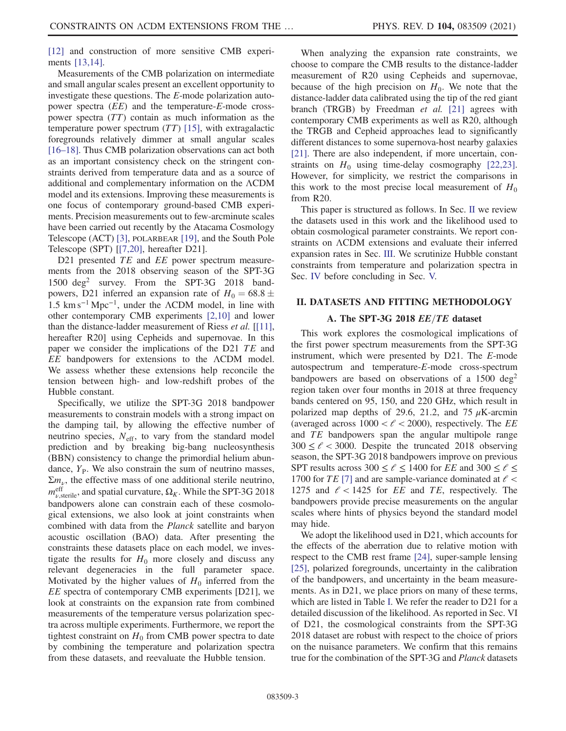[\[12\]](#page-16-3) and construction of more sensitive CMB experiments [\[13,14\].](#page-16-4)

Measurements of the CMB polarization on intermediate and small angular scales present an excellent opportunity to investigate these questions. The E-mode polarization autopower spectra (EE) and the temperature-E-mode crosspower spectra (TT) contain as much information as the temperature power spectrum  $(TT)$  [\[15\]](#page-16-5), with extragalactic foregrounds relatively dimmer at small angular scales [\[16](#page-16-6)–18]. Thus CMB polarization observations can act both as an important consistency check on the stringent constraints derived from temperature data and as a source of additional and complementary information on the ΛCDM model and its extensions. Improving these measurements is one focus of contemporary ground-based CMB experiments. Precision measurements out to few-arcminute scales have been carried out recently by the Atacama Cosmology Telescope (ACT) [\[3\]](#page-16-7), POLARBEAR [\[19\]](#page-16-8), and the South Pole Telescope (SPT) [[\[7,20\],](#page-16-9) hereafter D21].

D21 presented TE and EE power spectrum measurements from the 2018 observing season of the SPT-3G 1500 deg<sup>2</sup> survey. From the SPT-3G 2018 bandpowers, D21 inferred an expansion rate of  $H_0 = 68.8 \pm$  $1.5 \text{ km s}^{-1} \text{ Mpc}^{-1}$ , under the  $\Lambda$ CDM model, in line with other contemporary CMB experiments [\[2,10\]](#page-16-10) and lower than the distance-ladder measurement of Riess et al. [\[\[11\]](#page-16-11), hereafter R20] using Cepheids and supernovae. In this paper we consider the implications of the D21 TE and EE bandpowers for extensions to the ΛCDM model. We assess whether these extensions help reconcile the tension between high- and low-redshift probes of the Hubble constant.

Specifically, we utilize the SPT-3G 2018 bandpower measurements to constrain models with a strong impact on the damping tail, by allowing the effective number of neutrino species,  $N_{\text{eff}}$ , to vary from the standard model prediction and by breaking big-bang nucleosynthesis (BBN) consistency to change the primordial helium abundance,  $Y_{P}$ . We also constrain the sum of neutrino masses,  $\Sigma m_{\nu}$ , the effective mass of one additional sterile neutrino,  $m_{\nu,\text{sterile}}^{\text{eff}}$ , and spatial curvature,  $\Omega_K$ . While the SPT-3G 2018 bandpowers alone can constrain each of these cosmological extensions, we also look at joint constraints when combined with data from the Planck satellite and baryon acoustic oscillation (BAO) data. After presenting the constraints these datasets place on each model, we investigate the results for  $H_0$  more closely and discuss any relevant degeneracies in the full parameter space. Motivated by the higher values of  $H_0$  inferred from the EE spectra of contemporary CMB experiments [D21], we look at constraints on the expansion rate from combined measurements of the temperature versus polarization spectra across multiple experiments. Furthermore, we report the tightest constraint on  $H_0$  from CMB power spectra to date by combining the temperature and polarization spectra from these datasets, and reevaluate the Hubble tension.

When analyzing the expansion rate constraints, we choose to compare the CMB results to the distance-ladder measurement of R20 using Cepheids and supernovae, because of the high precision on  $H_0$ . We note that the distance-ladder data calibrated using the tip of the red giant branch (TRGB) by Freedman et al. [\[21\]](#page-16-12) agrees with contemporary CMB experiments as well as R20, although the TRGB and Cepheid approaches lead to significantly different distances to some supernova-host nearby galaxies [\[21\]](#page-16-12). There are also independent, if more uncertain, constraints on  $H_0$  using time-delay cosmography [\[22,23\]](#page-16-13). However, for simplicity, we restrict the comparisons in this work to the most precise local measurement of  $H_0$ from R20.

This paper is structured as follows. In Sec. [II](#page-2-0) we review the datasets used in this work and the likelihood used to obtain cosmological parameter constraints. We report constraints on ΛCDM extensions and evaluate their inferred expansion rates in Sec. [III](#page-4-0). We scrutinize Hubble constant constraints from temperature and polarization spectra in Sec. [IV](#page-11-0) before concluding in Sec. [V.](#page-12-0)

#### <span id="page-2-0"></span>II. DATASETS AND FITTING METHODOLOGY

#### A. The SPT-3G 2018  $EE/TE$  dataset

This work explores the cosmological implications of the first power spectrum measurements from the SPT-3G instrument, which were presented by D21. The E-mode autospectrum and temperature-E-mode cross-spectrum bandpowers are based on observations of a  $1500 \text{ deg}^2$ region taken over four months in 2018 at three frequency bands centered on 95, 150, and 220 GHz, which result in polarized map depths of 29.6, 21.2, and 75  $\mu$ K-arcmin (averaged across  $1000 < \ell < 2000$ ), respectively. The EE and TE bandpowers span the angular multipole range  $300 \le \ell < 3000$ . Despite the truncated 2018 observing season, the SPT-3G 2018 bandpowers improve on previous SPT results across 300  $\leq \ell \leq$  1400 for *EE* and 300  $\leq \ell \leq$ 1700 for TE [\[7\]](#page-16-9) and are sample-variance dominated at  $\ell$  < 1275 and  $\ell$  < 1425 for *EE* and *TE*, respectively. The bandpowers provide precise measurements on the angular scales where hints of physics beyond the standard model may hide.

We adopt the likelihood used in D21, which accounts for the effects of the aberration due to relative motion with respect to the CMB rest frame [\[24\]](#page-16-14), super-sample lensing [\[25\]](#page-16-15), polarized foregrounds, uncertainty in the calibration of the bandpowers, and uncertainty in the beam measurements. As in D21, we place priors on many of these terms, which are listed in Table [I.](#page-3-0) We refer the reader to D21 for a detailed discussion of the likelihood. As reported in Sec. VI of D21, the cosmological constraints from the SPT-3G 2018 dataset are robust with respect to the choice of priors on the nuisance parameters. We confirm that this remains true for the combination of the SPT-3G and Planck datasets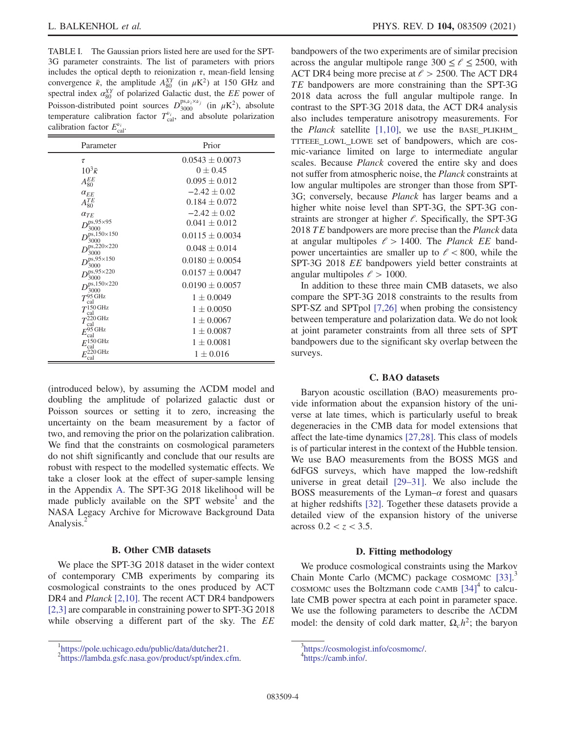<span id="page-3-0"></span>TABLE I. The Gaussian priors listed here are used for the SPT-3G parameter constraints. The list of parameters with priors includes the optical depth to reionization  $\tau$ , mean-field lensing convergence  $\bar{\kappa}$ , the amplitude  $A_{80}^{XY}$  (in  $\mu$ K<sup>2</sup>) at 150 GHz and spectral index  $\alpha_{80}^{XY}$  of polarized Galactic dust, the EE power of Poisson-distributed point sources  $D_{3000}^{\text{ps},\nu_i \times \nu_j}$  (in  $\mu$ K<sup>2</sup>), absolute temperature calibration factor  $T_{\text{cal}}^{v_i}$ , and absolute polarization calibration factor  $E_{\text{cal}}^{\nu_i}$ .

| Parameter                                   | Prior               |
|---------------------------------------------|---------------------|
| τ                                           | $0.0543 \pm 0.0073$ |
| $10^3\bar{\kappa}$                          | $0 \pm 0.45$        |
| $A_{80}^{EE}$                               | $0.095 \pm 0.012$   |
| $\alpha_{EE}$                               | $-2.42 \pm 0.02$    |
| $A_{80}^{TE}$                               | $0.184 \pm 0.072$   |
| $\alpha_{TE}$                               | $-2.42 \pm 0.02$    |
| $D_{\gamma}^{\text{ps},95\times95}$<br>3000 | $0.041 \pm 0.012$   |
| $D_{3000}^{\rm ps, 150 \times 150}$         | $0.0115 \pm 0.0034$ |
| $D_{22}^{ps,220\times 220}$<br>3000         | $0.048 \pm 0.014$   |
| $D_{\infty}^{ps,95\times 150}$<br>3000      | $0.0180 \pm 0.0054$ |
| $D^{ps,95\times220}$<br>3000                | $0.0157 \pm 0.0047$ |
| $D_{200}^{ps,150\times220}$<br>3000         | $0.0190 \pm 0.0057$ |
| $T^{95}$ GHz<br>cal                         | $1 \pm 0.0049$      |
| $T^{150 \text{ GHz}}$<br>cal                | $1 \pm 0.0050$      |
| $T^{220 \text{ GHz}}$                       | $1 \pm 0.0067$      |
| cal<br>$E_{\rm cal}^{95\,\rm GHz}$          | $1 \pm 0.0087$      |
| $E_{\rm cal}^{\rm 150\,GHz}$                | $1 \pm 0.0081$      |
| $E^{220}$ GHz<br>cal                        | $1 \pm 0.016$       |

(introduced below), by assuming the ΛCDM model and doubling the amplitude of polarized galactic dust or Poisson sources or setting it to zero, increasing the uncertainty on the beam measurement by a factor of two, and removing the prior on the polarization calibration. We find that the constraints on cosmological parameters do not shift significantly and conclude that our results are robust with respect to the modelled systematic effects. We take a closer look at the effect of super-sample lensing in the Appendix [A](#page-13-0). The SPT-3G 2018 likelihood will be made publicly available on the SPT website and the NASA Legacy Archive for Microwave Background Data Analysis.<sup>2</sup>

#### B. Other CMB datasets

We place the SPT-3G 2018 dataset in the wider context of contemporary CMB experiments by comparing its cosmological constraints to the ones produced by ACT DR4 and *Planck* [\[2,10\].](#page-16-10) The recent ACT DR4 bandpowers [\[2,3\]](#page-16-10) are comparable in constraining power to SPT-3G 2018 while observing a different part of the sky. The EE bandpowers of the two experiments are of similar precision across the angular multipole range  $300 \le \ell \le 2500$ , with ACT DR4 being more precise at  $\ell > 2500$ . The ACT DR4 TE bandpowers are more constraining than the SPT-3G 2018 data across the full angular multipole range. In contrast to the SPT-3G 2018 data, the ACT DR4 analysis also includes temperature anisotropy measurements. For the *Planck* satellite  $[1,10]$ , we use the BASE\_PLIKHM\_ TTTEEE\_LOWL\_LOWE set of bandpowers, which are cosmic-variance limited on large to intermediate angular scales. Because Planck covered the entire sky and does not suffer from atmospheric noise, the Planck constraints at low angular multipoles are stronger than those from SPT-3G; conversely, because Planck has larger beams and a higher white noise level than SPT-3G, the SPT-3G constraints are stronger at higher  $\ell$ . Specifically, the SPT-3G 2018 TE bandpowers are more precise than the *Planck* data at angular multipoles  $\ell > 1400$ . The *Planck EE* bandpower uncertainties are smaller up to  $\ell < 800$ , while the SPT-3G 2018 EE bandpowers yield better constraints at angular multipoles  $\ell > 1000$ .

In addition to these three main CMB datasets, we also compare the SPT-3G 2018 constraints to the results from SPT-SZ and SPTpol [\[7,26\]](#page-16-9) when probing the consistency between temperature and polarization data. We do not look at joint parameter constraints from all three sets of SPT bandpowers due to the significant sky overlap between the surveys.

#### C. BAO datasets

Baryon acoustic oscillation (BAO) measurements provide information about the expansion history of the universe at late times, which is particularly useful to break degeneracies in the CMB data for model extensions that affect the late-time dynamics [\[27,28\].](#page-16-16) This class of models is of particular interest in the context of the Hubble tension. We use BAO measurements from the BOSS MGS and 6dFGS surveys, which have mapped the low-redshift universe in great detail [\[29](#page-16-17)–31]. We also include the BOSS measurements of the Lyman– $\alpha$  forest and quasars at higher redshifts [\[32\].](#page-17-0) Together these datasets provide a detailed view of the expansion history of the universe across  $0.2 < z < 3.5$ .

#### D. Fitting methodology

We produce cosmological constraints using the Markov Chain Monte Carlo (MCMC) package COSMOMC [\[33\].](#page-17-1)<sup>3</sup> COSMOMC uses the Boltzmann code CAMB  $[34]$ <sup>4</sup> to calculate CMB power spectra at each point in parameter space. We use the following parameters to describe the ΛCDM model: the density of cold dark matter,  $\Omega_c h^2$ ; the baryon

 $^{1}$ <https://pole.uchicago.edu/public/data/dutcher21>.

<sup>&</sup>lt;sup>2</sup>[https://lambda.gsfc.nasa.gov/product/spt/index.cfm.](https://lambda.gsfc.nasa.gov/product/spt/index.cfm)

 $\frac{3}{1}$ https://cosmologist.info/cosmome/.

<https://camb.info/>.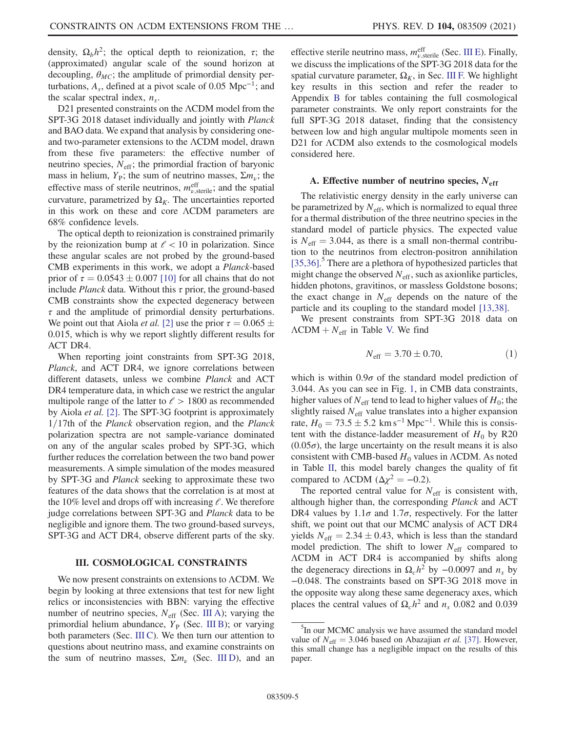density,  $\Omega_h h^2$ ; the optical depth to reionization,  $\tau$ ; the (approximated) angular scale of the sound horizon at decoupling,  $\theta_{MC}$ ; the amplitude of primordial density perturbations,  $A_s$ , defined at a pivot scale of 0.05 Mpc<sup>-1</sup>; and the scalar spectral index,  $n_s$ .

D21 presented constraints on the ΛCDM model from the SPT-3G 2018 dataset individually and jointly with Planck and BAO data. We expand that analysis by considering oneand two-parameter extensions to the ΛCDM model, drawn from these five parameters: the effective number of neutrino species,  $N_{\text{eff}}$ ; the primordial fraction of baryonic mass in helium,  $Y_P$ ; the sum of neutrino masses,  $\Sigma m_\nu$ ; the effective mass of sterile neutrinos,  $m_{\nu,\text{sterile}}^{\text{eff}}$ ; and the spatial curvature, parametrized by  $\Omega_K$ . The uncertainties reported in this work on these and core ΛCDM parameters are 68% confidence levels.

The optical depth to reionization is constrained primarily by the reionization bump at  $\ell$  < 10 in polarization. Since these angular scales are not probed by the ground-based CMB experiments in this work, we adopt a Planck-based prior of  $\tau = 0.0543 \pm 0.007$  [\[10\]](#page-16-2) for all chains that do not include *Planck* data. Without this  $\tau$  prior, the ground-based CMB constraints show the expected degeneracy between  $\tau$  and the amplitude of primordial density perturbations. We point out that Aiola *et al.* [\[2\]](#page-16-10) use the prior  $\tau = 0.065 \pm 0.065$ 0.015, which is why we report slightly different results for ACT DR4.

When reporting joint constraints from SPT-3G 2018, Planck, and ACT DR4, we ignore correlations between different datasets, unless we combine Planck and ACT DR4 temperature data, in which case we restrict the angular multipole range of the latter to  $\ell > 1800$  as recommended by Aiola et al. [\[2\]](#page-16-10). The SPT-3G footprint is approximately  $1/17$ th of the *Planck* observation region, and the *Planck* polarization spectra are not sample-variance dominated on any of the angular scales probed by SPT-3G, which further reduces the correlation between the two band power measurements. A simple simulation of the modes measured by SPT-3G and Planck seeking to approximate these two features of the data shows that the correlation is at most at the 10% level and drops off with increasing  $\ell$ . We therefore judge correlations between SPT-3G and Planck data to be negligible and ignore them. The two ground-based surveys, SPT-3G and ACT DR4, observe different parts of the sky.

#### <span id="page-4-0"></span>III. COSMOLOGICAL CONSTRAINTS

We now present constraints on extensions to ΛCDM. We begin by looking at three extensions that test for new light relics or inconsistencies with BBN: varying the effective number of neutrino species,  $N_{\text{eff}}$  (Sec. [III A](#page-4-1)); varying the primordial helium abundance,  $Y_P$  (Sec. [III B\)](#page-5-0); or varying both parameters (Sec. [III C\)](#page-6-0). We then turn our attention to questions about neutrino mass, and examine constraints on the sum of neutrino masses,  $\Sigma m_{\nu}$  (Sec. [III D](#page-8-0)), and an

effective sterile neutrino mass,  $m_{\nu,\text{sterile}}^{\text{eff}}$  (Sec. [III E](#page-9-0)). Finally, we discuss the implications of the SPT-3G 2018 data for the spatial curvature parameter,  $\Omega_K$ , in Sec. [III F.](#page-10-0) We highlight key results in this section and refer the reader to Appendix [B](#page-14-0) for tables containing the full cosmological parameter constraints. We only report constraints for the full SPT-3G 2018 dataset, finding that the consistency between low and high angular multipole moments seen in D21 for ΛCDM also extends to the cosmological models considered here.

### <span id="page-4-1"></span>A. Effective number of neutrino species,  $N_{\text{eff}}$

The relativistic energy density in the early universe can be parametrized by  $N_{\text{eff}}$ , which is normalized to equal three for a thermal distribution of the three neutrino species in the standard model of particle physics. The expected value is  $N_{\text{eff}} = 3.044$ , as there is a small non-thermal contribution to the neutrinos from electron-positron annihilation [\[35,36\]](#page-17-3).<sup>5</sup> There are a plethora of hypothesized particles that might change the observed  $N_{\text{eff}}$ , such as axionlike particles, hidden photons, gravitinos, or massless Goldstone bosons; the exact change in  $N_{\text{eff}}$  depends on the nature of the particle and its coupling to the standard model [\[13,38\].](#page-16-4)

We present constraints from SPT-3G 2018 data on  $\Lambda$ CDM +  $N_{\text{eff}}$  in Table [V.](#page-14-1) We find

$$
N_{\rm eff} = 3.70 \pm 0.70, \tag{1}
$$

which is within  $0.9\sigma$  of the standard model prediction of 3.044. As you can see in Fig. [1](#page-5-1), in CMB data constraints, higher values of  $N_{\text{eff}}$  tend to lead to higher values of  $H_0$ ; the slightly raised  $N<sub>eff</sub>$  value translates into a higher expansion rate,  $H_0 = 73.5 \pm 5.2 \text{ km s}^{-1} \text{ Mpc}^{-1}$ . While this is consistent with the distance-ladder measurement of  $H_0$  by R20  $(0.05\sigma)$ , the large uncertainty on the result means it is also consistent with CMB-based  $H_0$  values in  $\Lambda$ CDM. As noted in Table [II,](#page-5-2) this model barely changes the quality of fit compared to  $\triangle$ CDM ( $\Delta \chi^2 = -0.2$ ).

The reported central value for  $N_{\text{eff}}$  is consistent with, although higher than, the corresponding Planck and ACT DR4 values by  $1.1\sigma$  and  $1.7\sigma$ , respectively. For the latter shift, we point out that our MCMC analysis of ACT DR4 yields  $N_{\text{eff}} = 2.34 \pm 0.43$ , which is less than the standard model prediction. The shift to lower  $N_{\text{eff}}$  compared to ΛCDM in ACT DR4 is accompanied by shifts along the degeneracy directions in  $\Omega_c h^2$  by −0.0097 and  $n_s$  by −0.048. The constraints based on SPT-3G 2018 move in the opposite way along these same degeneracy axes, which places the central values of  $\Omega_c h^2$  and  $n_s$  0.082 and 0.039

<sup>&</sup>lt;sup>5</sup>In our MCMC analysis we have assumed the standard model value of  $N_{\text{eff}} = 3.046$  based on Abazajian *et al.* [\[37\]](#page-17-4). However, this small change has a negligible impact on the results of this paper.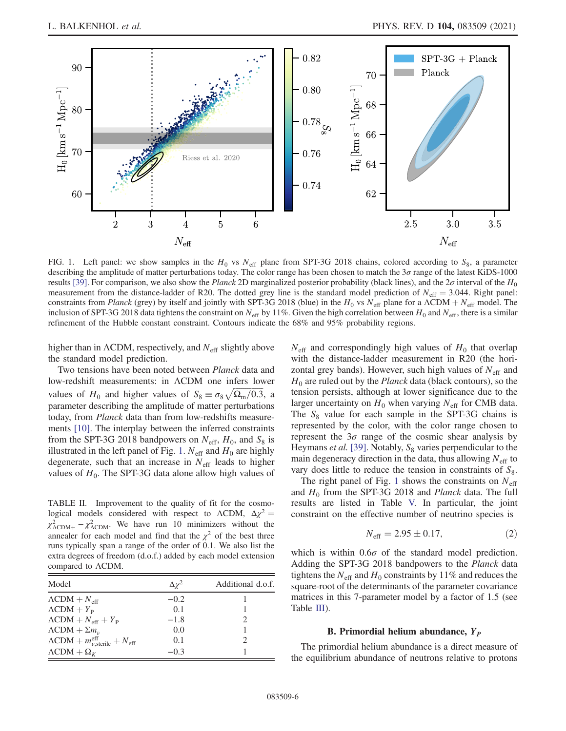<span id="page-5-1"></span>

FIG. 1. Left panel: we show samples in the  $H_0$  vs  $N_{\text{eff}}$  plane from SPT-3G 2018 chains, colored according to  $S_8$ , a parameter describing the amplitude of matter perturbations today. The color range has been chosen to match the  $3\sigma$  range of the latest KiDS-1000 results [\[39\]](#page-17-5). For comparison, we also show the Planck 2D marginalized posterior probability (black lines), and the  $2\sigma$  interval of the  $H_0$ measurement from the distance-ladder of R20. The dotted grey line is the standard model prediction of  $N_{\text{eff}} = 3.044$ . Right panel: constraints from Planck (grey) by itself and jointly with SPT-3G 2018 (blue) in the H<sub>0</sub> vs N<sub>eff</sub> plane for a  $\Lambda$ CDM + N<sub>eff</sub> model. The inclusion of SPT-3G 2018 data tightens the constraint on  $N_{\text{eff}}$  by 11%. Given the high correlation between  $H_0$  and  $N_{\text{eff}}$ , there is a similar refinement of the Hubble constant constraint. Contours indicate the 68% and 95% probability regions.

higher than in  $\Lambda$ CDM, respectively, and  $N_{\text{eff}}$  slightly above the standard model prediction.

Two tensions have been noted between Planck data and low-redshift measurements: in  $\Lambda$ CDM one infers lower low-redshift measurements: in ACDM one infers lower<br>values of  $H_0$  and higher values of  $S_8 \equiv \sigma_8 \sqrt{\Omega_{\rm m}/0.3}$ , a parameter describing the amplitude of matter perturbations today, from Planck data than from low-redshifts measurements [\[10\]](#page-16-2). The interplay between the inferred constraints from the SPT-3G 2018 bandpowers on  $N_{\text{eff}}$ ,  $H_0$ , and  $S_8$  is illustrated in the left panel of Fig. [1](#page-5-1).  $N_{\text{eff}}$  and  $H_0$  are highly degenerate, such that an increase in  $N_{\text{eff}}$  leads to higher values of  $H_0$ . The SPT-3G data alone allow high values of

<span id="page-5-2"></span>TABLE II. Improvement to the quality of fit for the cosmological models considered with respect to  $\Lambda$ CDM,  $\Delta \chi^2$  =  $\chi^2_{\Lambda \text{CDM}+} - \chi^2_{\Lambda \text{CDM}}$ . We have run 10 minimizers without the annealer for each model and find that the  $\chi^2$  of the best three runs typically span a range of the order of 0.1. We also list the extra degrees of freedom (d.o.f.) added by each model extension compared to ΛCDM.

| Model                                                                        | $\Delta y^2$ | Additional d.o.f. |
|------------------------------------------------------------------------------|--------------|-------------------|
| $\Lambda$ CDM + $N_{\text{eff}}$                                             | $-0.2$       |                   |
| $\Lambda$ CDM + $Y_{\rm p}$                                                  | 0.1          |                   |
| $\Lambda$ CDM + $N_{\text{eff}}$ + $Y_{\text{P}}$                            | $-1.8$       |                   |
| $\Lambda$ CDM + $\Sigma m_{\nu}$                                             | 0.0          |                   |
| $\Lambda \text{CDM} + m_{\nu, \text{sterile}}^{\text{eff}} + N_{\text{eff}}$ | 0.1          |                   |
| $\Lambda$ CDM + $\Omega$ <sub>K</sub>                                        | $-0.3$       |                   |

 $N_{\text{eff}}$  and correspondingly high values of  $H_0$  that overlap with the distance-ladder measurement in R20 (the horizontal grey bands). However, such high values of  $N_{\text{eff}}$  and  $H_0$  are ruled out by the *Planck* data (black contours), so the tension persists, although at lower significance due to the larger uncertainty on  $H_0$  when varying  $N_{\text{eff}}$  for CMB data. The  $S_8$  value for each sample in the SPT-3G chains is represented by the color, with the color range chosen to represent the  $3\sigma$  range of the cosmic shear analysis by Heymans *et al.* [\[39\]](#page-17-5). Notably,  $S_8$  varies perpendicular to the main degeneracy direction in the data, thus allowing  $N<sub>eff</sub>$  to vary does little to reduce the tension in constraints of  $S_8$ .

The right panel of Fig. [1](#page-5-1) shows the constraints on  $N_{\text{eff}}$ and  $H_0$  from the SPT-3G 2018 and *Planck* data. The full results are listed in Table [V.](#page-14-1) In particular, the joint constraint on the effective number of neutrino species is

$$
N_{\rm eff} = 2.95 \pm 0.17, \tag{2}
$$

which is within  $0.6\sigma$  of the standard model prediction. Adding the SPT-3G 2018 bandpowers to the Planck data tightens the  $N_{\text{eff}}$  and  $H_0$  constraints by 11% and reduces the square-root of the determinants of the parameter covariance matrices in this 7-parameter model by a factor of 1.5 (see Table [III\)](#page-6-1).

#### B. Primordial helium abundance,  $Y_P$

<span id="page-5-0"></span>The primordial helium abundance is a direct measure of the equilibrium abundance of neutrons relative to protons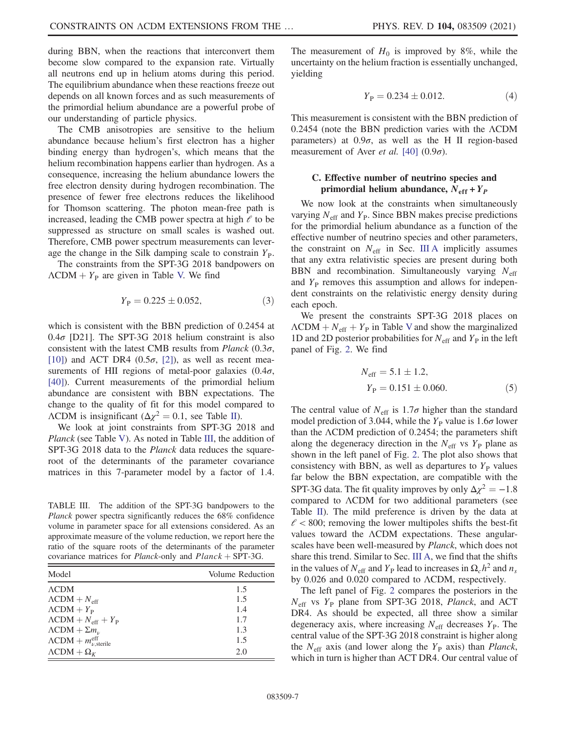during BBN, when the reactions that interconvert them become slow compared to the expansion rate. Virtually all neutrons end up in helium atoms during this period. The equilibrium abundance when these reactions freeze out depends on all known forces and as such measurements of the primordial helium abundance are a powerful probe of our understanding of particle physics.

The CMB anisotropies are sensitive to the helium abundance because helium's first electron has a higher binding energy than hydrogen's, which means that the helium recombination happens earlier than hydrogen. As a consequence, increasing the helium abundance lowers the free electron density during hydrogen recombination. The presence of fewer free electrons reduces the likelihood for Thomson scattering. The photon mean-free path is increased, leading the CMB power spectra at high  $\ell$  to be suppressed as structure on small scales is washed out. Therefore, CMB power spectrum measurements can leverage the change in the Silk damping scale to constrain  $Y_{P}$ .

The constraints from the SPT-3G 2018 bandpowers on  $\Lambda$ CDM +  $Y_P$  are given in Table [V.](#page-14-1) We find

$$
Y_{\rm P} = 0.225 \pm 0.052,\tag{3}
$$

which is consistent with the BBN prediction of 0.2454 at  $0.4\sigma$  [D21]. The SPT-3G 2018 helium constraint is also consistent with the latest CMB results from *Planck* (0.3 $\sigma$ , [\[10\]](#page-16-2)) and ACT DR4 (0.5 $\sigma$ , [\[2\]](#page-16-10)), as well as recent measurements of HII regions of metal-poor galaxies  $(0.4\sigma,$ [\[40\]](#page-17-6)). Current measurements of the primordial helium abundance are consistent with BBN expectations. The change to the quality of fit for this model compared to  $\Lambda$ CDM is insignificant ( $\Delta \chi^2 = 0.1$ , see Table [II](#page-5-2)).

We look at joint constraints from SPT-3G 2018 and Planck (see Table [V\)](#page-14-1). As noted in Table [III](#page-6-1), the addition of SPT-3G 2018 data to the Planck data reduces the squareroot of the determinants of the parameter covariance matrices in this 7-parameter model by a factor of 1.4.

<span id="page-6-1"></span>TABLE III. The addition of the SPT-3G bandpowers to the Planck power spectra significantly reduces the 68% confidence volume in parameter space for all extensions considered. As an approximate measure of the volume reduction, we report here the ratio of the square roots of the determinants of the parameter covariance matrices for *Planck*-only and  $Planck + SPT-3G$ .

| Model                                                 | Volume Reduction |
|-------------------------------------------------------|------------------|
| $\Lambda$ CDM                                         | 1.5              |
| $\Lambda$ CDM + $N_{\text{eff}}$                      | 1.5              |
| $\Lambda$ CDM + $Y_{\rm p}$                           | 1.4              |
| $\Lambda$ CDM + $N_{\text{eff}}$ + $Y_{\text{P}}$     | 1.7              |
| $\Lambda$ CDM + $\Sigma m_{\nu}$                      | 1.3              |
| $\Lambda$ CDM + $m_{\nu,\text{sterile}}^{\text{eff}}$ | 1.5              |
| $\Lambda$ CDM + $\Omega$ <sub>K</sub>                 | 2.0              |

The measurement of  $H_0$  is improved by 8%, while the uncertainty on the helium fraction is essentially unchanged, yielding

$$
Y_{\rm P} = 0.234 \pm 0.012. \tag{4}
$$

This measurement is consistent with the BBN prediction of 0.2454 (note the BBN prediction varies with the ΛCDM parameters) at  $0.9\sigma$ , as well as the H II region-based measurement of Aver *et al.* [\[40\]](#page-17-6) (0.9 $\sigma$ ).

## <span id="page-6-0"></span>C. Effective number of neutrino species and primordial helium abundance,  $N_{\text{eff}} + Y_P$

We now look at the constraints when simultaneously varying  $N_{\text{eff}}$  and  $Y_{\text{P}}$ . Since BBN makes precise predictions for the primordial helium abundance as a function of the effective number of neutrino species and other parameters, the constraint on  $N_{\text{eff}}$  in Sec. [III A](#page-4-1) implicitly assumes that any extra relativistic species are present during both BBN and recombination. Simultaneously varying  $N_{\text{eff}}$ and  $Y<sub>P</sub>$  removes this assumption and allows for independent constraints on the relativistic energy density during each epoch.

We present the constraints SPT-3G 2018 places on  $\Lambda$ CDM +  $N_{\text{eff}}$  +  $Y_{\text{P}}$  in Table [V](#page-14-1) and show the marginalized 1D and 2D posterior probabilities for  $N_{\text{eff}}$  and  $Y_{\text{P}}$  in the left panel of Fig. [2.](#page-7-0) We find

$$
N_{\text{eff}} = 5.1 \pm 1.2,
$$
  
\n
$$
Y_{\text{P}} = 0.151 \pm 0.060.
$$
 (5)

The central value of  $N_{\text{eff}}$  is 1.7 $\sigma$  higher than the standard model prediction of 3.044, while the  $Y<sub>P</sub>$  value is 1.6 $\sigma$  lower than the ΛCDM prediction of 0.2454; the parameters shift along the degeneracy direction in the  $N_{\text{eff}}$  vs  $Y_P$  plane as shown in the left panel of Fig. [2](#page-7-0). The plot also shows that consistency with BBN, as well as departures to  $Y<sub>P</sub>$  values far below the BBN expectation, are compatible with the SPT-3G data. The fit quality improves by only  $\Delta \chi^2 = -1.8$ compared to ΛCDM for two additional parameters (see Table [II\)](#page-5-2). The mild preference is driven by the data at  $\ell$  < 800; removing the lower multipoles shifts the best-fit values toward the ΛCDM expectations. These angularscales have been well-measured by Planck, which does not share this trend. Similar to Sec. [III A](#page-4-1), we find that the shifts in the values of  $N_{\text{eff}}$  and  $Y_{\text{P}}$  lead to increases in  $\Omega_c h^2$  and  $n_s$ by 0.026 and 0.020 compared to ΛCDM, respectively.

The left panel of Fig. [2](#page-7-0) compares the posteriors in the  $N_{\text{eff}}$  vs  $Y_{\text{P}}$  plane from SPT-3G 2018, *Planck*, and ACT DR4. As should be expected, all three show a similar degeneracy axis, where increasing  $N_{\text{eff}}$  decreases  $Y_{\text{P}}$ . The central value of the SPT-3G 2018 constraint is higher along the  $N_{\text{eff}}$  axis (and lower along the  $Y_P$  axis) than *Planck*, which in turn is higher than ACT DR4. Our central value of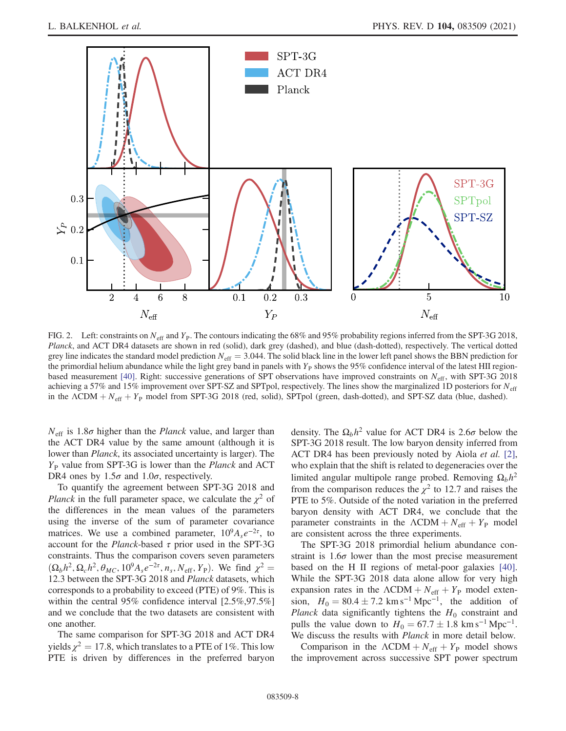<span id="page-7-0"></span>

FIG. 2. Left: constraints on  $N_{\text{eff}}$  and  $Y_{\text{P}}$ . The contours indicating the 68% and 95% probability regions inferred from the SPT-3G 2018, Planck, and ACT DR4 datasets are shown in red (solid), dark grey (dashed), and blue (dash-dotted), respectively. The vertical dotted grey line indicates the standard model prediction  $N_{\text{eff}} = 3.044$ . The solid black line in the lower left panel shows the BBN prediction for the primordial helium abundance while the light grey band in panels with  $Y<sub>P</sub>$  shows the 95% confidence interval of the latest HII region-based measurement [\[40\]](#page-17-6). Right: successive generations of SPT observations have improved constraints on  $N_{\text{eff}}$ , with SPT-3G 2018 achieving a 57% and 15% improvement over SPT-SZ and SPTpol, respectively. The lines show the marginalized 1D posteriors for  $N_{\text{eff}}$ in the  $\Lambda$ CDM +  $N_{\text{eff}}$  +  $Y_{\text{P}}$  model from SPT-3G 2018 (red, solid), SPTpol (green, dash-dotted), and SPT-SZ data (blue, dashed).

 $N_{\text{eff}}$  is 1.8 $\sigma$  higher than the *Planck* value, and larger than the ACT DR4 value by the same amount (although it is lower than *Planck*, its associated uncertainty is larger). The  $Y_P$  value from SPT-3G is lower than the *Planck* and ACT DR4 ones by  $1.5\sigma$  and  $1.0\sigma$ , respectively.

To quantify the agreement between SPT-3G 2018 and *Planck* in the full parameter space, we calculate the  $\chi^2$  of the differences in the mean values of the parameters using the inverse of the sum of parameter covariance matrices. We use a combined parameter,  $10^9 A_s e^{-2\tau}$ , to account for the *Planck*-based  $\tau$  prior used in the SPT-3G constraints. Thus the comparison covers seven parameters  $(\Omega_b h^2, \Omega_c h^2, \theta_{MC}, 10^9 A_s e^{-2\tau}, n_s, N_{\text{eff}}, Y_P)$ . We find  $\chi^2 =$ 12.3 between the SPT-3G 2018 and Planck datasets, which corresponds to a probability to exceed (PTE) of 9%. This is within the central 95% confidence interval [2.5%,97.5%] and we conclude that the two datasets are consistent with one another.

The same comparison for SPT-3G 2018 and ACT DR4 yields  $\chi^2 = 17.8$ , which translates to a PTE of 1%. This low PTE is driven by differences in the preferred baryon density. The  $\Omega_b h^2$  value for ACT DR4 is 2.6 $\sigma$  below the SPT-3G 2018 result. The low baryon density inferred from ACT DR4 has been previously noted by Aiola *et al.* [\[2\]](#page-16-10), who explain that the shift is related to degeneracies over the limited angular multipole range probed. Removing  $\Omega_b h^2$ from the comparison reduces the  $\chi^2$  to 12.7 and raises the PTE to 5%. Outside of the noted variation in the preferred baryon density with ACT DR4, we conclude that the parameter constraints in the  $\Lambda CDM + N_{\text{eff}} + Y_{\text{P}}$  model are consistent across the three experiments.

The SPT-3G 2018 primordial helium abundance constraint is  $1.6\sigma$  lower than the most precise measurement based on the H II regions of metal-poor galaxies [\[40\]](#page-17-6). While the SPT-3G 2018 data alone allow for very high expansion rates in the  $\Lambda CDM + N_{\text{eff}} + Y_{\text{P}}$  model extension,  $H_0 = 80.4 \pm 7.2$  km s<sup>-1</sup> Mpc<sup>-1</sup>, the addition of Planck data significantly tightens the  $H_0$  constraint and pulls the value down to  $H_0 = 67.7 \pm 1.8 \text{ km s}^{-1} \text{ Mpc}^{-1}$ . We discuss the results with *Planck* in more detail below.

Comparison in the  $\Lambda$ CDM +  $N_{\text{eff}}$  +  $Y_{\text{P}}$  model shows the improvement across successive SPT power spectrum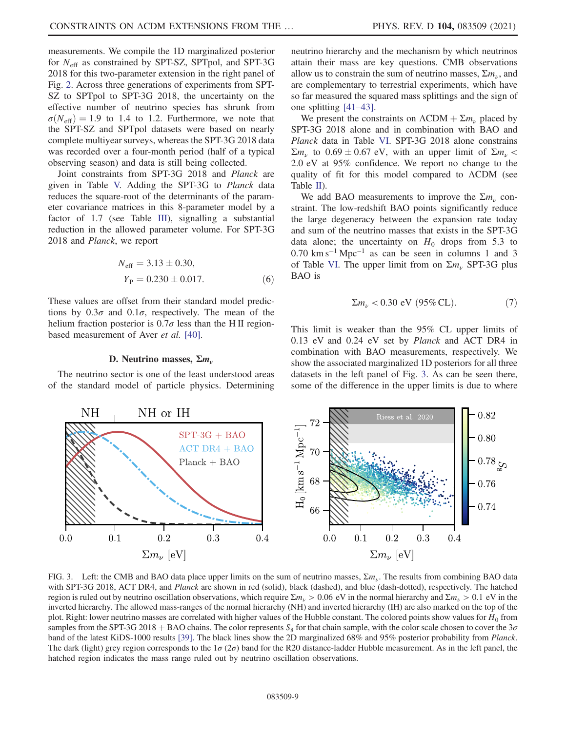measurements. We compile the 1D marginalized posterior for  $N_{\text{eff}}$  as constrained by SPT-SZ, SPTpol, and SPT-3G 2018 for this two-parameter extension in the right panel of Fig. [2.](#page-7-0) Across three generations of experiments from SPT-SZ to SPTpol to SPT-3G 2018, the uncertainty on the effective number of neutrino species has shrunk from  $\sigma(N_{\rm eff}) = 1.9$  to 1.4 to 1.2. Furthermore, we note that the SPT-SZ and SPTpol datasets were based on nearly complete multiyear surveys, whereas the SPT-3G 2018 data was recorded over a four-month period (half of a typical observing season) and data is still being collected.

Joint constraints from SPT-3G 2018 and Planck are given in Table [V.](#page-14-1) Adding the SPT-3G to Planck data reduces the square-root of the determinants of the parameter covariance matrices in this 8-parameter model by a factor of 1.7 (see Table [III](#page-6-1)), signalling a substantial reduction in the allowed parameter volume. For SPT-3G 2018 and Planck, we report

$$
N_{\text{eff}} = 3.13 \pm 0.30,
$$
  
\n
$$
Y_{\text{P}} = 0.230 \pm 0.017.
$$
 (6)

These values are offset from their standard model predictions by  $0.3\sigma$  and  $0.1\sigma$ , respectively. The mean of the helium fraction posterior is  $0.7\sigma$  less than the H II region-based measurement of Aver et al. [\[40\].](#page-17-6)

#### D. Neutrino masses,  $\Sigma m_{\nu}$

<span id="page-8-0"></span>The neutrino sector is one of the least understood areas of the standard model of particle physics. Determining neutrino hierarchy and the mechanism by which neutrinos attain their mass are key questions. CMB observations allow us to constrain the sum of neutrino masses,  $\Sigma m_{\nu}$ , and are complementary to terrestrial experiments, which have so far measured the squared mass splittings and the sign of one splitting [\[41](#page-17-7)–43].

We present the constraints on  $\Lambda$ CDM +  $\Sigma m_{\nu}$  placed by SPT-3G 2018 alone and in combination with BAO and Planck data in Table [VI.](#page-15-0) SPT-3G 2018 alone constrains  $\Sigma m_{\nu}$  to  $0.69 \pm 0.67$  eV, with an upper limit of  $\Sigma m_{\nu}$  < 2.0 eV at 95% confidence. We report no change to the quality of fit for this model compared to ΛCDM (see Table [II](#page-5-2)).

We add BAO measurements to improve the  $\Sigma m_{\nu}$  constraint. The low-redshift BAO points significantly reduce the large degeneracy between the expansion rate today and sum of the neutrino masses that exists in the SPT-3G data alone; the uncertainty on  $H_0$  drops from 5.3 to  $0.70 \text{ km s}^{-1} \text{ Mpc}^{-1}$  as can be seen in columns 1 and 3 of Table [VI.](#page-15-0) The upper limit from on  $\Sigma m_{\nu}$  SPT-3G plus BAO is

$$
\Sigma m_{\nu} < 0.30 \text{ eV} (95\% \text{ CL}).
$$
 (7)

This limit is weaker than the 95% CL upper limits of 0.13 eV and 0.24 eV set by Planck and ACT DR4 in combination with BAO measurements, respectively. We show the associated marginalized 1D posteriors for all three datasets in the left panel of Fig. [3](#page-8-1). As can be seen there, some of the difference in the upper limits is due to where

<span id="page-8-1"></span>

FIG. 3. Left: the CMB and BAO data place upper limits on the sum of neutrino masses,  $\Sigma m_{\nu}$ . The results from combining BAO data with SPT-3G 2018, ACT DR4, and *Planck* are shown in red (solid), black (dashed), and blue (dash-dotted), respectively. The hatched region is ruled out by neutrino oscillation observations, which require  $\Sigma m_{\nu} > 0.06$  eV in the normal hierarchy and  $\Sigma m_{\nu} > 0.1$  eV in the inverted hierarchy. The allowed mass-ranges of the normal hierarchy (NH) and inverted hierarchy (IH) are also marked on the top of the plot. Right: lower neutrino masses are correlated with higher values of the Hubble constant. The colored points show values for  $H_0$  from samples from the SPT-3G 2018 + BAO chains. The color represents  $S_8$  for that chain sample, with the color scale chosen to cover the  $3\sigma$ band of the latest KiDS-1000 results [\[39\]](#page-17-5). The black lines show the 2D marginalized 68% and 95% posterior probability from Planck. The dark (light) grey region corresponds to the  $1\sigma(2\sigma)$  band for the R20 distance-ladder Hubble measurement. As in the left panel, the hatched region indicates the mass range ruled out by neutrino oscillation observations.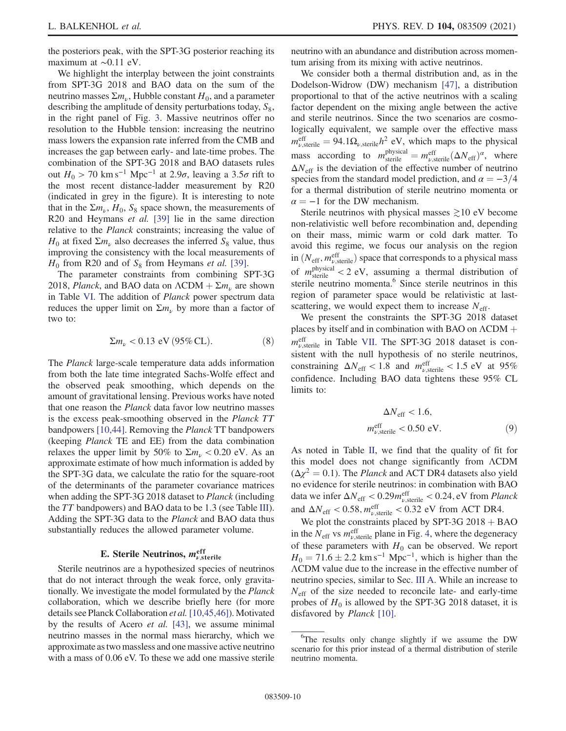the posteriors peak, with the SPT-3G posterior reaching its maximum at ∼0.11 eV.

We highlight the interplay between the joint constraints from SPT-3G 2018 and BAO data on the sum of the neutrino masses  $\Sigma m_{\nu}$ , Hubble constant  $H_0$ , and a parameter describing the amplitude of density perturbations today,  $S_8$ , in the right panel of Fig. [3.](#page-8-1) Massive neutrinos offer no resolution to the Hubble tension: increasing the neutrino mass lowers the expansion rate inferred from the CMB and increases the gap between early- and late-time probes. The combination of the SPT-3G 2018 and BAO datasets rules out  $H_0 > 70$  km s<sup>-1</sup> Mpc<sup>-1</sup> at 2.9 $\sigma$ , leaving a 3.5 $\sigma$  rift to the most recent distance-ladder measurement by R20 (indicated in grey in the figure). It is interesting to note that in the  $\Sigma m_{\nu}$ ,  $H_0$ ,  $S_8$  space shown, the measurements of R20 and Heymans et al. [\[39\]](#page-17-5) lie in the same direction relative to the Planck constraints; increasing the value of  $H_0$  at fixed  $\Sigma m_\nu$  also decreases the inferred  $S_8$  value, thus improving the consistency with the local measurements of  $H_0$  from R20 and of  $S_8$  from Heymans *et al.* [\[39\].](#page-17-5)

The parameter constraints from combining SPT-3G 2018, Planck, and BAO data on  $\Lambda$ CDM  $+ \Sigma m_{\nu}$  are shown in Table [VI.](#page-15-0) The addition of Planck power spectrum data reduces the upper limit on  $\Sigma m_{\nu}$  by more than a factor of two to:

$$
\Sigma m_{\nu} < 0.13 \text{ eV} (95\% \text{ CL}).
$$
 (8)

The Planck large-scale temperature data adds information from both the late time integrated Sachs-Wolfe effect and the observed peak smoothing, which depends on the amount of gravitational lensing. Previous works have noted that one reason the Planck data favor low neutrino masses is the excess peak-smoothing observed in the Planck TT bandpowers [\[10,44\].](#page-16-2) Removing the Planck TT bandpowers (keeping Planck TE and EE) from the data combination relaxes the upper limit by 50% to  $\Sigma m_{\nu} < 0.20$  eV. As an approximate estimate of how much information is added by the SPT-3G data, we calculate the ratio for the square-root of the determinants of the parameter covariance matrices when adding the SPT-3G 2018 dataset to *Planck* (including the TT bandpowers) and BAO data to be 1.3 (see Table [III](#page-6-1)). Adding the SPT-3G data to the Planck and BAO data thus substantially reduces the allowed parameter volume.

# E. Sterile Neutrinos,  $m_{\nu,{\rm{sterile}}}^{\rm{eff}}$

<span id="page-9-0"></span>Sterile neutrinos are a hypothesized species of neutrinos that do not interact through the weak force, only gravitationally. We investigate the model formulated by the Planck collaboration, which we describe briefly here (for more details see Planck Collaboration et al. [\[10,45,46\]\)](#page-16-2). Motivated by the results of Acero et al. [\[43\],](#page-17-8) we assume minimal neutrino masses in the normal mass hierarchy, which we approximate as two massless and one massive active neutrino with a mass of  $0.06$  eV. To these we add one massive sterile neutrino with an abundance and distribution across momentum arising from its mixing with active neutrinos.

We consider both a thermal distribution and, as in the Dodelson-Widrow (DW) mechanism [\[47\]](#page-17-9), a distribution proportional to that of the active neutrinos with a scaling factor dependent on the mixing angle between the active and sterile neutrinos. Since the two scenarios are cosmologically equivalent, we sample over the effective mass  $m_{\nu,\text{sterile}}^{\text{eff}} = 94.1 \Omega_{\nu,\text{sterile}} h^2 \text{ eV}$ , which maps to the physical mass according to  $m_{\text{sterile}}^{\text{physical}} = m_{\nu,\text{sterile}}^{\text{eff}}(\Delta N_{\text{eff}})^{\alpha}$ , where  $\Delta N_{\text{eff}}$  is the deviation of the effective number of neutrino species from the standard model prediction, and  $\alpha = -3/4$ for a thermal distribution of sterile neutrino momenta or  $\alpha = -1$  for the DW mechanism.

Sterile neutrinos with physical masses  $\geq 10$  eV become non-relativistic well before recombination and, depending on their mass, mimic warm or cold dark matter. To avoid this regime, we focus our analysis on the region in  $(N_{\text{eff}}, m_{\nu, \text{sterile}}^{\text{eff}})$  space that corresponds to a physical mass of  $m_{\text{sterile}}^{\text{physical}} < 2$  eV, assuming a thermal distribution of sterile neutrino momenta.<sup>6</sup> Since sterile neutrinos in this region of parameter space would be relativistic at lastscattering, we would expect them to increase  $N<sub>eff</sub>$ .

We present the constraints the SPT-3G 2018 dataset places by itself and in combination with BAO on  $\Lambda$ CDM  $+$  $m_{\nu,\text{sterile}}^{\text{eff}}$  in Table [VII.](#page-15-1) The SPT-3G 2018 dataset is consistent with the null hypothesis of no sterile neutrinos, constraining  $\Delta N_{\text{eff}} < 1.8$  and  $m_{\nu,\text{sterile}}^{\text{eff}} < 1.5 \text{ eV}$  at 95% confidence. Including BAO data tightens these 95% CL limits to:

$$
\Delta N_{\rm eff} < 1.6,
$$
\n
$$
m_{\nu, \text{sterile}}^{\text{eff}} < 0.50 \text{ eV}.\tag{9}
$$

As noted in Table [II,](#page-5-2) we find that the quality of fit for this model does not change significantly from ΛCDM  $(\Delta \chi^2 = 0.1)$ . The *Planck* and ACT DR4 datasets also yield no evidence for sterile neutrinos: in combination with BAO data we infer  $\Delta N_{\rm eff} < 0.29 m_{\nu,{\rm sterile}}^{\rm eff} < 0.24$ , eV from *Planck* and  $\Delta N_{\text{eff}} < 0.58$ ,  $m_{\nu,\text{sterile}}^{\text{eff}} < 0.32$  eV from ACT DR4.

We plot the constraints placed by SPT-3G  $2018 + BAO$ in the  $N_{\text{eff}}$  vs  $m_{\nu,\text{sterile}}^{\text{eff}}$  plane in Fig. [4](#page-10-1), where the degeneracy of these parameters with  $H_0$  can be observed. We report  $H_0 = 71.6 \pm 2.2$  km s<sup>-1</sup> Mpc<sup>-1</sup>, which is higher than the ΛCDM value due to the increase in the effective number of neutrino species, similar to Sec. [III A.](#page-4-1) While an increase to  $N<sub>eff</sub>$  of the size needed to reconcile late- and early-time probes of  $H_0$  is allowed by the SPT-3G 2018 dataset, it is disfavored by Planck [\[10\]](#page-16-2).

<sup>&</sup>lt;sup>6</sup>The results only change slightly if we assume the DW scenario for this prior instead of a thermal distribution of sterile neutrino momenta.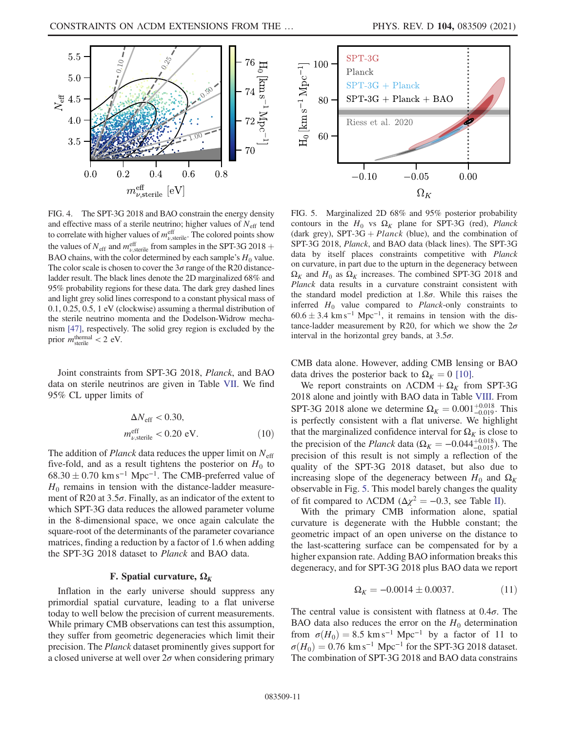<span id="page-10-1"></span>

<span id="page-10-2"></span>

FIG. 4. The SPT-3G 2018 and BAO constrain the energy density and effective mass of a sterile neutrino; higher values of  $N_{\text{eff}}$  tend to correlate with higher values of  $m_{\nu,\text{sterile}}^{\text{eff}}$ . The colored points show the values of  $N_{\text{eff}}$  and  $m_{\nu,\text{sterile}}^{\text{eff}}$  from samples in the SPT-3G 2018 + BAO chains, with the color determined by each sample's  $H_0$  value. The color scale is chosen to cover the  $3\sigma$  range of the R20 distanceladder result. The black lines denote the 2D marginalized 68% and 95% probability regions for these data. The dark grey dashed lines and light grey solid lines correspond to a constant physical mass of 0.1, 0.25, 0.5, 1 eV (clockwise) assuming a thermal distribution of the sterile neutrino momenta and the Dodelson-Widrow mechanism [\[47\]](#page-17-9), respectively. The solid grey region is excluded by the prior  $m_{\text{sterile}}^{\text{thermal}} < 2 \text{ eV}$ .

Joint constraints from SPT-3G 2018, Planck, and BAO data on sterile neutrinos are given in Table [VII](#page-15-1). We find 95% CL upper limits of

$$
\Delta N_{\text{eff}} < 0.30,
$$
\n
$$
m_{\nu, \text{sterile}}^{\text{eff}} < 0.20 \text{ eV}.\tag{10}
$$

The addition of *Planck* data reduces the upper limit on  $N_{\text{eff}}$ five-fold, and as a result tightens the posterior on  $H_0$  to  $68.30 \pm 0.70$  km s<sup>-1</sup> Mpc<sup>-1</sup>. The CMB-preferred value of  $H_0$  remains in tension with the distance-ladder measurement of R20 at  $3.5\sigma$ . Finally, as an indicator of the extent to which SPT-3G data reduces the allowed parameter volume in the 8-dimensional space, we once again calculate the square-root of the determinants of the parameter covariance matrices, finding a reduction by a factor of 1.6 when adding the SPT-3G 2018 dataset to Planck and BAO data.

#### F. Spatial curvature,  $\Omega_K$

<span id="page-10-0"></span>Inflation in the early universe should suppress any primordial spatial curvature, leading to a flat universe today to well below the precision of current measurements. While primary CMB observations can test this assumption, they suffer from geometric degeneracies which limit their precision. The Planck dataset prominently gives support for a closed universe at well over  $2\sigma$  when considering primary

FIG. 5. Marginalized 2D 68% and 95% posterior probability contours in the  $H_0$  vs  $\Omega_K$  plane for SPT-3G (red), *Planck* (dark grey), SPT-3G + Planck (blue), and the combination of SPT-3G 2018, Planck, and BAO data (black lines). The SPT-3G data by itself places constraints competitive with Planck on curvature, in part due to the upturn in the degeneracy between  $\Omega_K$  and  $H_0$  as  $\Omega_K$  increases. The combined SPT-3G 2018 and Planck data results in a curvature constraint consistent with the standard model prediction at  $1.8\sigma$ . While this raises the inferred  $H_0$  value compared to *Planck*-only constraints to  $60.6 \pm 3.4 \text{ km s}^{-1} \text{ Mpc}^{-1}$ , it remains in tension with the distance-ladder measurement by R20, for which we show the  $2\sigma$ interval in the horizontal grey bands, at  $3.5\sigma$ .

CMB data alone. However, adding CMB lensing or BAO data drives the posterior back to  $\Omega_K = 0$  [\[10\]](#page-16-2).

We report constraints on  $\Lambda$ CDM +  $\Omega_K$  from SPT-3G 2018 alone and jointly with BAO data in Table [VIII](#page-15-2). From SPT-3G 2018 alone we determine  $\Omega_K = 0.001_{-0.019}^{+0.018}$ . This is perfectly consistent with a flat universe. We highlight that the marginalized confidence interval for  $\Omega_K$  is close to the precision of the *Planck* data ( $\Omega_K = -0.044^{+0.018}_{-0.015}$ ). The precision of this result is not simply a reflection of the quality of the SPT-3G 2018 dataset, but also due to increasing slope of the degeneracy between  $H_0$  and  $\Omega_K$ observable in Fig. [5](#page-10-2). This model barely changes the quality of fit compared to  $\Lambda$ CDM ( $\Delta \chi^2 = -0.3$ , see Table [II\)](#page-5-2).

With the primary CMB information alone, spatial curvature is degenerate with the Hubble constant; the geometric impact of an open universe on the distance to the last-scattering surface can be compensated for by a higher expansion rate. Adding BAO information breaks this degeneracy, and for SPT-3G 2018 plus BAO data we report

$$
\Omega_K = -0.0014 \pm 0.0037. \tag{11}
$$

The central value is consistent with flatness at  $0.4\sigma$ . The BAO data also reduces the error on the  $H_0$  determination from  $\sigma(H_0) = 8.5$  km s<sup>-1</sup> Mpc<sup>-1</sup> by a factor of 11 to  $\sigma(H_0) = 0.76$  km s<sup>-1</sup> Mpc<sup>-1</sup> for the SPT-3G 2018 dataset. The combination of SPT-3G 2018 and BAO data constrains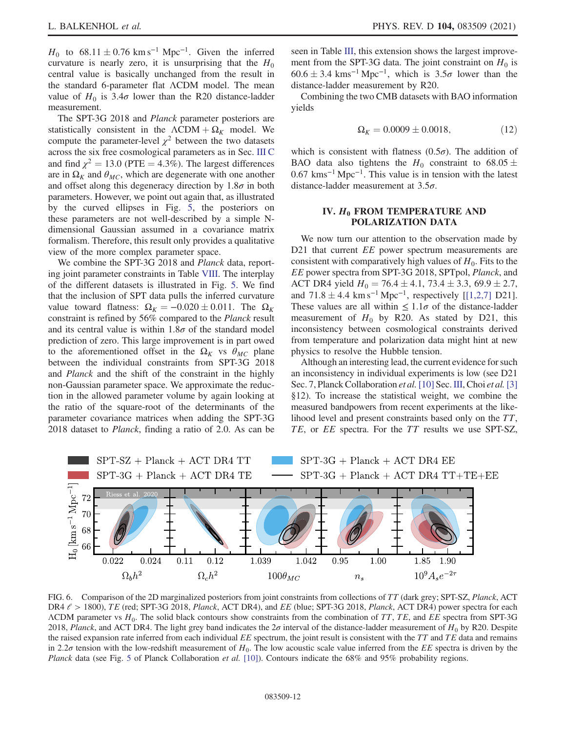$H_0$  to 68.11  $\pm$  0.76 km s<sup>-1</sup> Mpc<sup>-1</sup>. Given the inferred curvature is nearly zero, it is unsurprising that the  $H_0$ central value is basically unchanged from the result in the standard 6-parameter flat ΛCDM model. The mean value of  $H_0$  is 3.4 $\sigma$  lower than the R20 distance-ladder measurement.

The SPT-3G 2018 and *Planck* parameter posteriors are statistically consistent in the  $\Lambda CDM + \Omega_K$  model. We compute the parameter-level  $\chi^2$  between the two datasets across the six free cosmological parameters as in Sec. [III C](#page-6-0) and find  $\chi^2 = 13.0$  (PTE = 4.3%). The largest differences are in  $\Omega_K$  and  $\theta_{MC}$ , which are degenerate with one another and offset along this degeneracy direction by  $1.8\sigma$  in both parameters. However, we point out again that, as illustrated by the curved ellipses in Fig. [5](#page-10-2), the posteriors on these parameters are not well-described by a simple Ndimensional Gaussian assumed in a covariance matrix formalism. Therefore, this result only provides a qualitative view of the more complex parameter space.

We combine the SPT-3G 2018 and *Planck* data, reporting joint parameter constraints in Table [VIII.](#page-15-2) The interplay of the different datasets is illustrated in Fig. [5](#page-10-2). We find that the inclusion of SPT data pulls the inferred curvature value toward flatness:  $\Omega_K = -0.020 \pm 0.011$ . The  $\Omega_K$ constraint is refined by 56% compared to the Planck result and its central value is within  $1.8\sigma$  of the standard model prediction of zero. This large improvement is in part owed to the aforementioned offset in the  $\Omega_K$  vs  $\theta_{MC}$  plane between the individual constraints from SPT-3G 2018 and Planck and the shift of the constraint in the highly non-Gaussian parameter space. We approximate the reduction in the allowed parameter volume by again looking at the ratio of the square-root of the determinants of the parameter covariance matrices when adding the SPT-3G 2018 dataset to Planck, finding a ratio of 2.0. As can be seen in Table [III,](#page-6-1) this extension shows the largest improvement from the SPT-3G data. The joint constraint on  $H_0$  is  $60.6 \pm 3.4$  kms<sup>-1</sup> Mpc<sup>-1</sup>, which is  $3.5\sigma$  lower than the distance-ladder measurement by R20.

Combining the two CMB datasets with BAO information yields

$$
\Omega_K = 0.0009 \pm 0.0018,\tag{12}
$$

which is consistent with flatness  $(0.5\sigma)$ . The addition of BAO data also tightens the  $H_0$  constraint to 68.05  $\pm$  $0.67$  kms<sup>-1</sup> Mpc<sup>-1</sup>. This value is in tension with the latest distance-ladder measurement at  $3.5\sigma$ .

## <span id="page-11-0"></span>IV.  $H_0$  FROM TEMPERATURE AND POLARIZATION DATA

We now turn our attention to the observation made by D21 that current *EE* power spectrum measurements are consistent with comparatively high values of  $H_0$ . Fits to the EE power spectra from SPT-3G 2018, SPTpol, Planck, and ACT DR4 yield  $H_0 = 76.4 \pm 4.1, 73.4 \pm 3.3, 69.9 \pm 2.7,$ and  $71.8 \pm 4.4 \text{ km s}^{-1} \text{ Mpc}^{-1}$ , respectively [\[\[1,2,7\]](#page-16-0) D21]. These values are all within  $\leq 1.1\sigma$  of the distance-ladder measurement of  $H_0$  by R20. As stated by D21, this inconsistency between cosmological constraints derived from temperature and polarization data might hint at new physics to resolve the Hubble tension.

Although an interesting lead, the current evidence for such an inconsistency in individual experiments is low (see D21 Sec. 7, Planck Collaboration et al. [\[10\]](#page-16-2) Sec. [III,](#page-4-0) Choi et al. [\[3\]](#page-16-7) §12). To increase the statistical weight, we combine the measured bandpowers from recent experiments at the likelihood level and present constraints based only on the TT, TE, or EE spectra. For the TT results we use SPT-SZ,

<span id="page-11-1"></span>

FIG. 6. Comparison of the 2D marginalized posteriors from joint constraints from collections of TT (dark grey; SPT-SZ, Planck, ACT DR4  $\ell$  > 1800), TE (red; SPT-3G 2018, Planck, ACT DR4), and EE (blue; SPT-3G 2018, Planck, ACT DR4) power spectra for each  $\Lambda$ CDM parameter vs  $H_0$ . The solid black contours show constraints from the combination of TT, TE, and EE spectra from SPT-3G 2018, Planck, and ACT DR4. The light grey band indicates the  $2\sigma$  interval of the distance-ladder measurement of  $H_0$  by R20. Despite the raised expansion rate inferred from each individual  $EE$  spectrum, the joint result is consistent with the  $TT$  and  $TE$  data and remains in 2.2 $\sigma$  tension with the low-redshift measurement of  $H_0$ . The low acoustic scale value inferred from the EE spectra is driven by the Planck data (see Fig. [5](#page-10-2) of Planck Collaboration et al. [\[10\]](#page-16-2)). Contours indicate the 68% and 95% probability regions.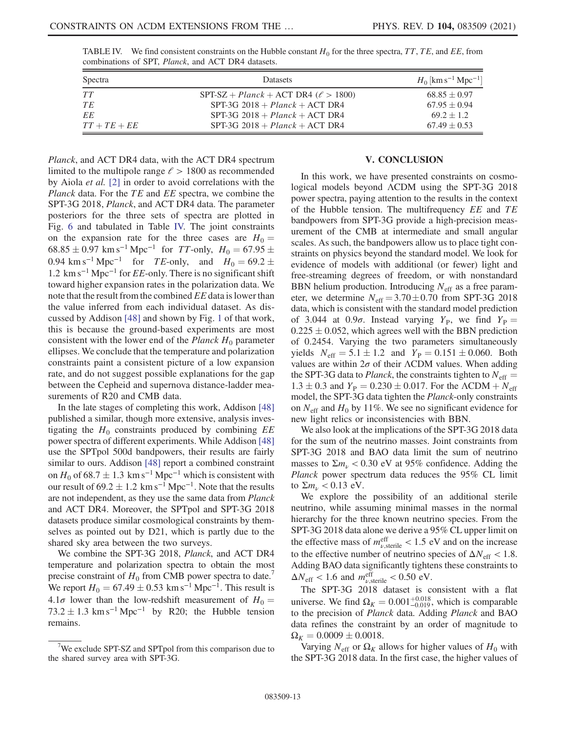<span id="page-12-1"></span>TABLE IV. We find consistent constraints on the Hubble constant  $H_0$  for the three spectra, TT, TE, and EE, from combinations of SPT, Planck, and ACT DR4 datasets.

| Spectra        | <b>Datasets</b>                               | $H_0$ [km s <sup>-1</sup> Mpc <sup>-1</sup> ] |
|----------------|-----------------------------------------------|-----------------------------------------------|
| TT             | $SPT-SZ + Planck + ACT DR4$ ( $\ell > 1800$ ) | $68.85 \pm 0.97$                              |
| TE             | $SPT-3G$ 2018 + $Planck$ + ACT DR4            | $67.95 \pm 0.94$                              |
| EE             | $SPT-3G$ 2018 + $Planck$ + ACT DR4            | $69.2 \pm 1.2$                                |
| $TT + TE + EE$ | $SPT-3G$ 2018 + Planck + ACT DR4              | $67.49 \pm 0.53$                              |

Planck, and ACT DR4 data, with the ACT DR4 spectrum limited to the multipole range  $\ell > 1800$  as recommended by Aiola et al. [\[2\]](#page-16-10) in order to avoid correlations with the Planck data. For the  $TE$  and  $EE$  spectra, we combine the SPT-3G 2018, Planck, and ACT DR4 data. The parameter posteriors for the three sets of spectra are plotted in Fig. [6](#page-11-1) and tabulated in Table [IV.](#page-12-1) The joint constraints on the expansion rate for the three cases are  $H_0 =$  $68.85 \pm 0.97$  km s<sup>-1</sup> Mpc<sup>-1</sup> for *TT*-only,  $H_0 = 67.95 \pm 0.97$ 0.94 km s<sup>-1</sup> Mpc<sup>-1</sup> for *TE*-only, and  $H_0 = 69.2 \pm$ 1.2 km s<sup> $-1$ </sup> Mpc<sup> $-1$ </sup> for *EE*-only. There is no significant shift toward higher expansion rates in the polarization data. We note that the result from the combined EE data is lower than the value inferred from each individual dataset. As discussed by Addison [\[48\]](#page-17-10) and shown by Fig. [1](#page-5-1) of that work, this is because the ground-based experiments are most consistent with the lower end of the *Planck*  $H_0$  parameter ellipses. We conclude that the temperature and polarization constraints paint a consistent picture of a low expansion rate, and do not suggest possible explanations for the gap between the Cepheid and supernova distance-ladder measurements of R20 and CMB data.

In the late stages of completing this work, Addison [\[48\]](#page-17-10) published a similar, though more extensive, analysis investigating the  $H_0$  constraints produced by combining  $EE$ power spectra of different experiments. While Addison [\[48\]](#page-17-10) use the SPTpol 500d bandpowers, their results are fairly similar to ours. Addison [\[48\]](#page-17-10) report a combined constraint on  $H_0$  of 68.7  $\pm$  1.3 km s<sup>-1</sup> Mpc<sup>-1</sup> which is consistent with our result of  $69.2 \pm 1.2$  km s<sup>-1</sup> Mpc<sup>-1</sup>. Note that the results are not independent, as they use the same data from Planck and ACT DR4. Moreover, the SPTpol and SPT-3G 2018 datasets produce similar cosmological constraints by themselves as pointed out by D21, which is partly due to the shared sky area between the two surveys.

We combine the SPT-3G 2018, Planck, and ACT DR4 temperature and polarization spectra to obtain the most precise constraint of  $H_0$  from CMB power spectra to date.<sup>7</sup> We report  $H_0 = 67.49 \pm 0.53$  km s<sup>-1</sup> Mpc<sup>-1</sup>. This result is 4.1 $\sigma$  lower than the low-redshift measurement of  $H_0 =$  $73.2 \pm 1.3$  km s<sup>-1</sup> Mpc<sup>-1</sup> by R20; the Hubble tension remains.

## V. CONCLUSION

<span id="page-12-0"></span>In this work, we have presented constraints on cosmological models beyond ΛCDM using the SPT-3G 2018 power spectra, paying attention to the results in the context of the Hubble tension. The multifrequency EE and TE bandpowers from SPT-3G provide a high-precision measurement of the CMB at intermediate and small angular scales. As such, the bandpowers allow us to place tight constraints on physics beyond the standard model. We look for evidence of models with additional (or fewer) light and free-streaming degrees of freedom, or with nonstandard BBN helium production. Introducing  $N<sub>eff</sub>$  as a free parameter, we determine  $N_{\text{eff}} = 3.70 \pm 0.70$  from SPT-3G 2018 data, which is consistent with the standard model prediction of 3.044 at 0.9 $\sigma$ . Instead varying  $Y_P$ , we find  $Y_P =$  $0.225 \pm 0.052$ , which agrees well with the BBN prediction of 0.2454. Varying the two parameters simultaneously yields  $N_{\text{eff}} = 5.1 \pm 1.2$  and  $Y_P = 0.151 \pm 0.060$ . Both values are within  $2\sigma$  of their  $\Lambda$ CDM values. When adding the SPT-3G data to *Planck*, the constraints tighten to  $N_{\text{eff}} =$  $1.3 \pm 0.3$  and  $Y_{\rm P} = 0.230 \pm 0.017$ . For the  $\Lambda$ CDM +  $N_{\rm eff}$ model, the SPT-3G data tighten the Planck-only constraints on  $N_{\text{eff}}$  and  $H_0$  by 11%. We see no significant evidence for new light relics or inconsistencies with BBN.

We also look at the implications of the SPT-3G 2018 data for the sum of the neutrino masses. Joint constraints from SPT-3G 2018 and BAO data limit the sum of neutrino masses to  $\Sigma m_{\nu}$  < 0.30 eV at 95% confidence. Adding the Planck power spectrum data reduces the 95% CL limit to  $\Sigma m_{\nu}$  < 0.13 eV.

We explore the possibility of an additional sterile neutrino, while assuming minimal masses in the normal hierarchy for the three known neutrino species. From the SPT-3G 2018 data alone we derive a 95% CL upper limit on the effective mass of  $m_{\nu,\text{sterile}}^{\text{eff}} < 1.5 \text{ eV}$  and on the increase to the effective number of neutrino species of  $\Delta N_{\text{eff}} < 1.8$ . Adding BAO data significantly tightens these constraints to  $\Delta N_{\text{eff}} < 1.6$  and  $m_{\nu,\text{sterile}}^{\text{eff}} < 0.50 \text{ eV}$ .

The SPT-3G 2018 dataset is consistent with a flat universe. We find  $\Omega_K = 0.001_{-0.019}^{+0.018}$ , which is comparable to the precision of Planck data. Adding Planck and BAO data refines the constraint by an order of magnitude to  $\Omega_K = 0.0009 \pm 0.0018.$ 

Varying  $N_{\text{eff}}$  or  $\Omega_K$  allows for higher values of  $H_0$  with the SPT-3G 2018 data. In the first case, the higher values of

 $7$ We exclude SPT-SZ and SPTpol from this comparison due to the shared survey area with SPT-3G.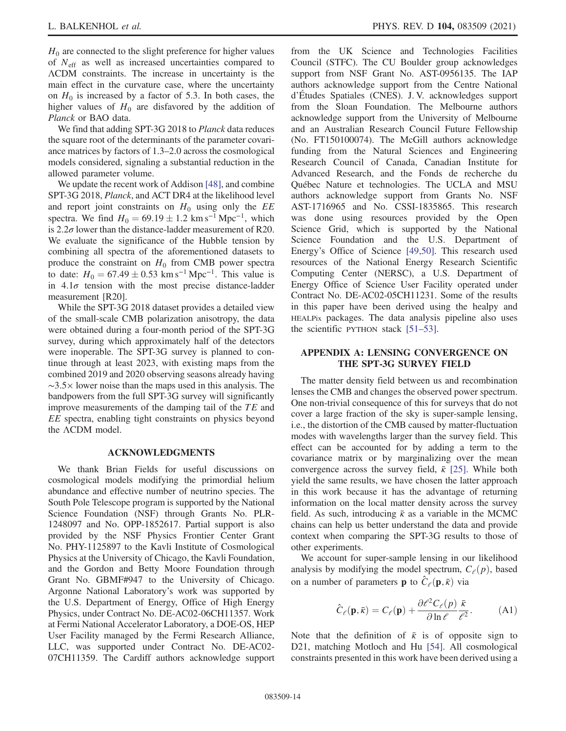$H_0$  are connected to the slight preference for higher values of  $N_{\text{eff}}$  as well as increased uncertainties compared to ΛCDM constraints. The increase in uncertainty is the main effect in the curvature case, where the uncertainty on  $H_0$  is increased by a factor of 5.3. In both cases, the higher values of  $H_0$  are disfavored by the addition of Planck or BAO data.

We find that adding SPT-3G 2018 to Planck data reduces the square root of the determinants of the parameter covariance matrices by factors of 1.3–2.0 across the cosmological models considered, signaling a substantial reduction in the allowed parameter volume.

We update the recent work of Addison [\[48\]](#page-17-10), and combine SPT-3G 2018, Planck, and ACT DR4 at the likelihood level and report joint constraints on  $H_0$  using only the  $EE$ spectra. We find  $H_0 = 69.19 \pm 1.2$  km s<sup>-1</sup> Mpc<sup>-1</sup>, which is 2.2 $\sigma$  lower than the distance-ladder measurement of R20. We evaluate the significance of the Hubble tension by combining all spectra of the aforementioned datasets to produce the constraint on  $H_0$  from CMB power spectra to date:  $H_0 = 67.49 \pm 0.53$  km s<sup>-1</sup> Mpc<sup>-1</sup>. This value is in  $4.1\sigma$  tension with the most precise distance-ladder measurement [R20].

While the SPT-3G 2018 dataset provides a detailed view of the small-scale CMB polarization anisotropy, the data were obtained during a four-month period of the SPT-3G survey, during which approximately half of the detectors were inoperable. The SPT-3G survey is planned to continue through at least 2023, with existing maps from the combined 2019 and 2020 observing seasons already having ∼3.5× lower noise than the maps used in this analysis. The bandpowers from the full SPT-3G survey will significantly improve measurements of the damping tail of the TE and EE spectra, enabling tight constraints on physics beyond the ΛCDM model.

#### ACKNOWLEDGMENTS

We thank Brian Fields for useful discussions on cosmological models modifying the primordial helium abundance and effective number of neutrino species. The South Pole Telescope program is supported by the National Science Foundation (NSF) through Grants No. PLR-1248097 and No. OPP-1852617. Partial support is also provided by the NSF Physics Frontier Center Grant No. PHY-1125897 to the Kavli Institute of Cosmological Physics at the University of Chicago, the Kavli Foundation, and the Gordon and Betty Moore Foundation through Grant No. GBMF#947 to the University of Chicago. Argonne National Laboratory's work was supported by the U.S. Department of Energy, Office of High Energy Physics, under Contract No. DE-AC02-06CH11357. Work at Fermi National Accelerator Laboratory, a DOE-OS, HEP User Facility managed by the Fermi Research Alliance, LLC, was supported under Contract No. DE-AC02- 07CH11359. The Cardiff authors acknowledge support from the UK Science and Technologies Facilities Council (STFC). The CU Boulder group acknowledges support from NSF Grant No. AST-0956135. The IAP authors acknowledge support from the Centre National d'Études Spatiales (CNES). J. V. acknowledges support from the Sloan Foundation. The Melbourne authors acknowledge support from the University of Melbourne and an Australian Research Council Future Fellowship (No. FT150100074). The McGill authors acknowledge funding from the Natural Sciences and Engineering Research Council of Canada, Canadian Institute for Advanced Research, and the Fonds de recherche du Québec Nature et technologies. The UCLA and MSU authors acknowledge support from Grants No. NSF AST-1716965 and No. CSSI-1835865. This research was done using resources provided by the Open Science Grid, which is supported by the National Science Foundation and the U.S. Department of Energy's Office of Science [\[49,50\].](#page-17-11) This research used resources of the National Energy Research Scientific Computing Center (NERSC), a U.S. Department of Energy Office of Science User Facility operated under Contract No. DE-AC02-05CH11231. Some of the results in this paper have been derived using the healpy and HEALPix packages. The data analysis pipeline also uses the scientific PYTHON stack [\[51](#page-17-12)–53].

## <span id="page-13-0"></span>APPENDIX A: LENSING CONVERGENCE ON THE SPT-3G SURVEY FIELD

The matter density field between us and recombination lenses the CMB and changes the observed power spectrum. One non-trivial consequence of this for surveys that do not cover a large fraction of the sky is super-sample lensing, i.e., the distortion of the CMB caused by matter-fluctuation modes with wavelengths larger than the survey field. This effect can be accounted for by adding a term to the covariance matrix or by marginalizing over the mean convergence across the survey field,  $\bar{k}$  [\[25\]](#page-16-15). While both yield the same results, we have chosen the latter approach in this work because it has the advantage of returning information on the local matter density across the survey field. As such, introducing  $\bar{k}$  as a variable in the MCMC chains can help us better understand the data and provide context when comparing the SPT-3G results to those of other experiments.

We account for super-sample lensing in our likelihood analysis by modifying the model spectrum,  $C_{\ell}(p)$ , based on a number of parameters **p** to  $\hat{C}_{\ell}(\mathbf{p}, \bar{\kappa})$  via

$$
\hat{C}_{\ell}(\mathbf{p}, \bar{\kappa}) = C_{\ell}(\mathbf{p}) + \frac{\partial \ell^2 C_{\ell}(p)}{\partial \ln \ell} \frac{\bar{\kappa}}{\ell^2}.
$$
 (A1)

Note that the definition of  $\bar{k}$  is of opposite sign to D21, matching Motloch and Hu [\[54\]](#page-17-13). All cosmological constraints presented in this work have been derived using a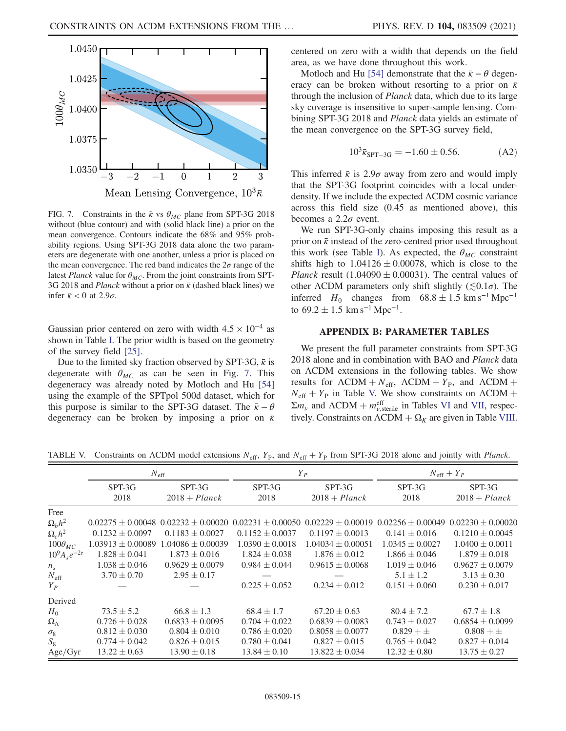<span id="page-14-2"></span>

FIG. 7. Constraints in the  $\bar{k}$  vs  $\theta_{MC}$  plane from SPT-3G 2018 without (blue contour) and with (solid black line) a prior on the mean convergence. Contours indicate the 68% and 95% probability regions. Using SPT-3G 2018 data alone the two parameters are degenerate with one another, unless a prior is placed on the mean convergence. The red band indicates the  $2\sigma$  range of the latest Planck value for  $\theta_{MC}$ . From the joint constraints from SPT-3G 2018 and *Planck* without a prior on  $\bar{k}$  (dashed black lines) we infer  $\bar{\kappa}$  < 0 at 2.9 $\sigma$ .

Gaussian prior centered on zero with width  $4.5 \times 10^{-4}$  as shown in Table [I](#page-3-0). The prior width is based on the geometry of the survey field [\[25\].](#page-16-15)

Due to the limited sky fraction observed by SPT-3G,  $\bar{k}$  is degenerate with  $\theta_{MC}$  as can be seen in Fig. [7.](#page-14-2) This degeneracy was already noted by Motloch and Hu [\[54\]](#page-17-13) using the example of the SPTpol 500d dataset, which for this purpose is similar to the SPT-3G dataset. The  $\bar{k} - \theta$ degeneracy can be broken by imposing a prior on  $\bar{k}$  centered on zero with a width that depends on the field area, as we have done throughout this work.

Motloch and Hu [\[54\]](#page-17-13) demonstrate that the  $\bar{\kappa} - \theta$  degeneracy can be broken without resorting to a prior on  $\bar{k}$ through the inclusion of Planck data, which due to its large sky coverage is insensitive to super-sample lensing. Combining SPT-3G 2018 and *Planck* data yields an estimate of the mean convergence on the SPT-3G survey field,

$$
10^3 \bar{\kappa}_{\rm SPT-3G} = -1.60 \pm 0.56. \tag{A2}
$$

This inferred  $\bar{k}$  is 2.9 $\sigma$  away from zero and would imply that the SPT-3G footprint coincides with a local underdensity. If we include the expected ΛCDM cosmic variance across this field size (0.45 as mentioned above), this becomes a  $2.2\sigma$  event.

We run SPT-3G-only chains imposing this result as a prior on  $\bar{\kappa}$  instead of the zero-centred prior used throughout this work (see Table [I](#page-3-0)). As expected, the  $\theta_{MC}$  constraint shifts high to  $1.04126 \pm 0.00078$ , which is close to the *Planck* result (1.04090  $\pm$  0.00031). The central values of other  $\Lambda$ CDM parameters only shift slightly ( $\lesssim 0.1\sigma$ ). The inferred  $H_0$  changes from  $68.8 \pm 1.5$  km s<sup>-1</sup> Mpc<sup>-1</sup> to  $69.2 \pm 1.5$  km s<sup>-1</sup> Mpc<sup>-1</sup>.

## APPENDIX B: PARAMETER TABLES

<span id="page-14-0"></span>We present the full parameter constraints from SPT-3G 2018 alone and in combination with BAO and Planck data on ΛCDM extensions in the following tables. We show results for  $\Lambda$ CDM +  $N_{\text{eff}}$ ,  $\Lambda$ CDM +  $Y_{\text{P}}$ , and  $\Lambda$ CDM +  $N_{\text{eff}} + Y_{\text{P}}$  in Table [V.](#page-14-1) We show constraints on  $\Lambda \text{CDM} + \Lambda$  $\Sigma m_{\nu}$  and  $\Lambda$ CDM +  $m_{\nu,\text{sterile}}^{\text{eff}}$  in Tables [VI](#page-15-0) and [VII](#page-15-1), respectively. Constraints on  $\Lambda$ CDM  $+ \Omega_K$  are given in Table [VIII](#page-15-2).

|                         | $N_{\rm eff}$         |                           | $Y_P$               |                                                                                                                                     | $N_{\text{eff}} + Y_P$ |                           |
|-------------------------|-----------------------|---------------------------|---------------------|-------------------------------------------------------------------------------------------------------------------------------------|------------------------|---------------------------|
|                         | SPT-3G<br>2018        | SPT-3G<br>$2018 + Planck$ | SPT-3G<br>2018      | SPT-3G<br>$2018 + Planck$                                                                                                           | SPT-3G<br>2018         | SPT-3G<br>$2018 + Planck$ |
|                         |                       |                           |                     |                                                                                                                                     |                        |                           |
| Free                    |                       |                           |                     |                                                                                                                                     |                        |                           |
| $\Omega_b h^2$          |                       |                           |                     | $0.02275 \pm 0.00048$ $0.02232 \pm 0.00020$ $0.02231 \pm 0.00050$ $0.02229 \pm 0.00019$ $0.02256 \pm 0.00049$ $0.02230 \pm 0.00020$ |                        |                           |
| $\Omega_c h^2$          | $0.1232 \pm 0.0097$   | $0.1183 \pm 0.0027$       | $0.1152 + 0.0037$   | $0.1197 \pm 0.0013$                                                                                                                 | $0.141 \pm 0.016$      | $0.1210 \pm 0.0045$       |
| $100\theta_{MC}$        | $1.03913 \pm 0.00089$ | $1.04086 + 0.00039$       | $1.0390 \pm 0.0018$ | $1.04034 \pm 0.00051$                                                                                                               | $1.0345 \pm 0.0027$    | $1.0400 \pm 0.0011$       |
| $10^{9}A_{s}e^{-2\tau}$ | $1.828 \pm 0.041$     | $1.873 \pm 0.016$         | $1.824 \pm 0.038$   | $1.876 \pm 0.012$                                                                                                                   | $1.866 \pm 0.046$      | $1.879 \pm 0.018$         |
| $n_{\rm s}$             | $1.038 \pm 0.046$     | $0.9629 \pm 0.0079$       | $0.984 \pm 0.044$   | $0.9615 \pm 0.0068$                                                                                                                 | $1.019 \pm 0.046$      | $0.9627 \pm 0.0079$       |
| $N_{\text{eff}}$        | $3.70 \pm 0.70$       | $2.95 \pm 0.17$           |                     |                                                                                                                                     | $5.1 \pm 1.2$          | $3.13 \pm 0.30$           |
| $Y_P$                   |                       |                           | $0.225 \pm 0.052$   | $0.234 \pm 0.012$                                                                                                                   | $0.151 \pm 0.060$      | $0.230 \pm 0.017$         |
| Derived                 |                       |                           |                     |                                                                                                                                     |                        |                           |
| $H_0$                   | $73.5 \pm 5.2$        | $66.8 \pm 1.3$            | $68.4 \pm 1.7$      | $67.20 \pm 0.63$                                                                                                                    | $80.4 \pm 7.2$         | $67.7 \pm 1.8$            |
| $\Omega_{\Lambda}$      | $0.726 \pm 0.028$     | $0.6833 \pm 0.0095$       | $0.704 \pm 0.022$   | $0.6839 \pm 0.0083$                                                                                                                 | $0.743 \pm 0.027$      | $0.6854 \pm 0.0099$       |
| $\sigma_8$              | $0.812 \pm 0.030$     | $0.804 \pm 0.010$         | $0.786 \pm 0.020$   | $0.8058 \pm 0.0077$                                                                                                                 | $0.829 + \pm$          | $0.808 + \pm$             |
| $S_8$                   | $0.774 \pm 0.042$     | $0.826 \pm 0.015$         | $0.780 \pm 0.041$   | $0.827 \pm 0.015$                                                                                                                   | $0.765 \pm 0.042$      | $0.827 \pm 0.014$         |
| Age/Gyr                 | $13.22 \pm 0.63$      | $13.90 \pm 0.18$          | $13.84 \pm 0.10$    | $13.822 \pm 0.034$                                                                                                                  | $12.32 \pm 0.80$       | $13.75 \pm 0.27$          |

<span id="page-14-1"></span>TABLE V. Constraints on  $\Lambda$ CDM model extensions  $N_{\text{eff}}$ ,  $Y_{\text{P}}$ , and  $N_{\text{eff}} + Y_{\text{P}}$  from SPT-3G 2018 alone and jointly with *Planck*.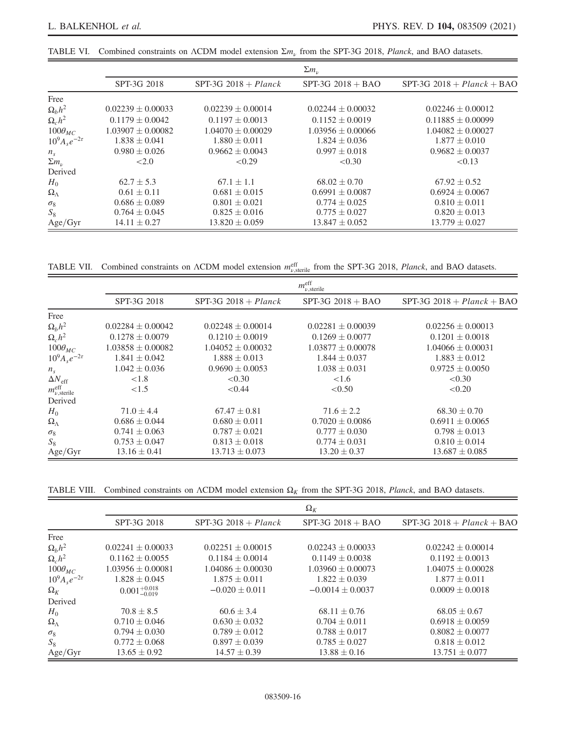<span id="page-15-0"></span>TABLE VI. Combined constraints on  $\Lambda$ CDM model extension  $\Sigma m_{\nu}$  from the SPT-3G 2018, Planck, and BAO datasets.

|                         | $\Sigma m_{\nu}$      |                        |                       |                              |  |  |
|-------------------------|-----------------------|------------------------|-----------------------|------------------------------|--|--|
|                         | SPT-3G 2018           | $SPT-3G$ 2018 + Planck | $SPT-3G$ 2018 + BAO   | $SPT-3G$ 2018 + Planck + BAO |  |  |
| Free                    |                       |                        |                       |                              |  |  |
| $\Omega_h h^2$          | $0.02239 \pm 0.00033$ | $0.02239 + 0.00014$    | $0.02244 + 0.00032$   | $0.02246 \pm 0.00012$        |  |  |
| $\Omega_c h^2$          | $0.1179 \pm 0.0042$   | $0.1197 \pm 0.0013$    | $0.1152 \pm 0.0019$   | $0.11885 \pm 0.00099$        |  |  |
| $100\theta_{MC}$        | $1.03907 \pm 0.00082$ | $1.04070 \pm 0.00029$  | $1.03956 \pm 0.00066$ | $1.04082 \pm 0.00027$        |  |  |
| $10^{9}A_{s}e^{-2\tau}$ | $1.838 \pm 0.041$     | $1.880 \pm 0.011$      | $1.824 \pm 0.036$     | $1.877 \pm 0.010$            |  |  |
| $n_{\rm s}$             | $0.980 \pm 0.026$     | $0.9662 \pm 0.0043$    | $0.997 \pm 0.018$     | $0.9682 \pm 0.0037$          |  |  |
| $\Sigma m_{\nu}$        | ${<}2.0$              | < 0.29                 | < 0.30                | < 0.13                       |  |  |
| Derived                 |                       |                        |                       |                              |  |  |
| $H_0$                   | $62.7 \pm 5.3$        | $67.1 \pm 1.1$         | $68.02 \pm 0.70$      | $67.92 \pm 0.52$             |  |  |
| $\Omega_{\Lambda}$      | $0.61 \pm 0.11$       | $0.681 \pm 0.015$      | $0.6991 \pm 0.0087$   | $0.6924 \pm 0.0067$          |  |  |
| $\sigma_8$              | $0.686 \pm 0.089$     | $0.801 \pm 0.021$      | $0.774 \pm 0.025$     | $0.810 \pm 0.011$            |  |  |
| $S_8$                   | $0.764 \pm 0.045$     | $0.825 \pm 0.016$      | $0.775 \pm 0.027$     | $0.820 \pm 0.013$            |  |  |
| Age/Gyr                 | $14.11 \pm 0.27$      | $13.820 \pm 0.059$     | $13.847 \pm 0.052$    | $13.779 \pm 0.027$           |  |  |

<span id="page-15-1"></span>TABLE VII. Combined constraints on  $\Lambda$ CDM model extension  $m_{\nu,\text{sterile}}^{\text{eff}}$  from the SPT-3G 2018, *Planck*, and BAO datasets.

|                                           | $m_{\nu,\text{sterile}}^{\text{eff}}$ |                        |                       |                              |  |  |
|-------------------------------------------|---------------------------------------|------------------------|-----------------------|------------------------------|--|--|
|                                           | SPT-3G 2018                           | $SPT-3G$ 2018 + Planck | $SPT-3G$ 2018 + BAO   | $SPT-3G$ 2018 + Planck + BAO |  |  |
| Free                                      |                                       |                        |                       |                              |  |  |
| $\Omega_b h^2$                            | $0.02284 + 0.00042$                   | $0.02248 + 0.00014$    | $0.02281 \pm 0.00039$ | $0.02256 \pm 0.00013$        |  |  |
| $\Omega_c h^2$                            | $0.1278 \pm 0.0079$                   | $0.1210 \pm 0.0019$    | $0.1269 \pm 0.0077$   | $0.1201 \pm 0.0018$          |  |  |
| $100\theta_{MC}$                          | $1.03858 \pm 0.00082$                 | $1.04052 \pm 0.00032$  | $1.03877 \pm 0.00078$ | $1.04066 \pm 0.00031$        |  |  |
| $10^{9}A_{s}e^{-2\tau}$                   | $1.841 \pm 0.042$                     | $1.888 \pm 0.013$      | $1.844 \pm 0.037$     | $1.883 \pm 0.012$            |  |  |
| $n_{\rm s}$                               | $1.042 \pm 0.036$                     | $0.9690 \pm 0.0053$    | $1.038 \pm 0.031$     | $0.9725 \pm 0.0050$          |  |  |
| $\Delta N_{\rm eff}$                      | ${<}1.8$                              | < 0.30                 | ${<}1.6$              | < 0.30                       |  |  |
| $m_{\nu,\mathrm{sterile}}^{\mathrm{eff}}$ | ${<}1.5$                              | < 0.44                 | < 0.50                | < 0.20                       |  |  |
| Derived                                   |                                       |                        |                       |                              |  |  |
| $H_0$                                     | $71.0 \pm 4.4$                        | $67.47 \pm 0.81$       | $71.6 \pm 2.2$        | $68.30 \pm 0.70$             |  |  |
| $\Omega_{\Lambda}$                        | $0.686 \pm 0.044$                     | $0.680 \pm 0.011$      | $0.7020 \pm 0.0086$   | $0.6911 \pm 0.0065$          |  |  |
| $\sigma_8$                                | $0.741 \pm 0.063$                     | $0.787 \pm 0.021$      | $0.777 \pm 0.030$     | $0.798 \pm 0.013$            |  |  |
| $S_8$                                     | $0.753 \pm 0.047$                     | $0.813 \pm 0.018$      | $0.774 \pm 0.031$     | $0.810 \pm 0.014$            |  |  |
| Age/Gyr                                   | $13.16 \pm 0.41$                      | $13.713 \pm 0.073$     | $13.20 \pm 0.37$      | $13.687 \pm 0.085$           |  |  |

<span id="page-15-2"></span>TABLE VIII. Combined constraints on  $\Lambda$ CDM model extension  $\Omega_K$  from the SPT-3G 2018, Planck, and BAO datasets.

|                         | $\Omega_K$                |                        |                      |                                |  |  |
|-------------------------|---------------------------|------------------------|----------------------|--------------------------------|--|--|
|                         | SPT-3G 2018               | SPT-3G $2018 + Planck$ | $SPT-3G$ 2018 + BAO  | $SPT-3G$ 2018 + $Planck$ + BAO |  |  |
| Free                    |                           |                        |                      |                                |  |  |
| $\Omega_b h^2$          | $0.02241 \pm 0.00033$     | $0.02251 \pm 0.00015$  | $0.02243 + 0.00033$  | $0.02242 + 0.00014$            |  |  |
| $\Omega_c h^2$          | $0.1162 \pm 0.0055$       | $0.1184 \pm 0.0014$    | $0.1149 \pm 0.0038$  | $0.1192 \pm 0.0013$            |  |  |
| $100\theta_{MC}$        | $1.03956 \pm 0.00081$     | $1.04086 + 0.00030$    | $1.03960 + 0.00073$  | $1.04075 + 0.00028$            |  |  |
| $10^{9}A_{s}e^{-2\tau}$ | $1.828 \pm 0.045$         | $1.875 \pm 0.011$      | $1.822 \pm 0.039$    | $1.877 \pm 0.011$              |  |  |
| $\Omega_K$              | $0.001_{-0.019}^{+0.018}$ | $-0.020 \pm 0.011$     | $-0.0014 \pm 0.0037$ | $0.0009 \pm 0.0018$            |  |  |
| Derived                 |                           |                        |                      |                                |  |  |
| $H_0$                   | $70.8 \pm 8.5$            | $60.6 \pm 3.4$         | $68.11 \pm 0.76$     | $68.05 \pm 0.67$               |  |  |
| $\Omega_{\Lambda}$      | $0.710 \pm 0.046$         | $0.630 \pm 0.032$      | $0.704 \pm 0.011$    | $0.6918 + 0.0059$              |  |  |
| $\sigma_8$              | $0.794 \pm 0.030$         | $0.789 \pm 0.012$      | $0.788 \pm 0.017$    | $0.8082 \pm 0.0077$            |  |  |
| $S_8$                   | $0.772 \pm 0.068$         | $0.897 + 0.039$        | $0.785 \pm 0.027$    | $0.818 \pm 0.012$              |  |  |
| Age/Gyr                 | $13.65 \pm 0.92$          | $14.57 \pm 0.39$       | $13.88 \pm 0.16$     | $13.751 \pm 0.077$             |  |  |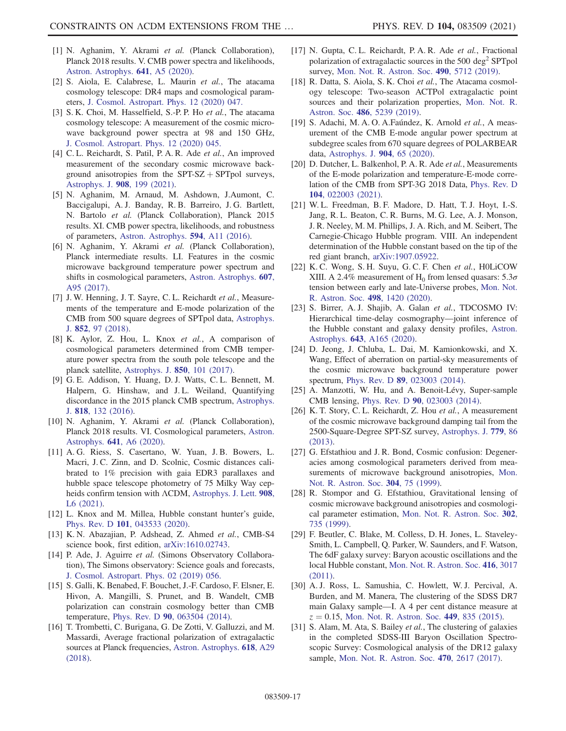- <span id="page-16-0"></span>[1] N. Aghanim, Y. Akrami et al. (Planck Collaboration), Planck 2018 results. V. CMB power spectra and likelihoods, [Astron. Astrophys.](https://doi.org/10.1051/0004-6361/201936386) 641, A5 (2020).
- <span id="page-16-10"></span>[2] S. Aiola, E. Calabrese, L. Maurin et al., The atacama cosmology telescope: DR4 maps and cosmological parameters, [J. Cosmol. Astropart. Phys. 12 \(2020\) 047.](https://doi.org/10.1088/1475-7516/2020/12/047)
- <span id="page-16-7"></span>[3] S. K. Choi, M. Hasselfield, S.-P. P. Ho et al., The atacama cosmology telescope: A measurement of the cosmic microwave background power spectra at 98 and 150 GHz, [J. Cosmol. Astropart. Phys. 12 \(2020\) 045.](https://doi.org/10.1088/1475-7516/2020/12/045)
- [4] C. L. Reichardt, S. Patil, P. A. R. Ade et al., An improved measurement of the secondary cosmic microwave background anisotropies from the  $SPT-SZ + SPTpol$  surveys, [Astrophys. J.](https://doi.org/10.3847/1538-4357/abd407) 908, 199 (2021).
- <span id="page-16-1"></span>[5] N. Aghanim, M. Arnaud, M. Ashdown, J.Aumont, C. Baccigalupi, A. J. Banday, R. B. Barreiro, J. G. Bartlett, N. Bartolo et al. (Planck Collaboration), Planck 2015 results. XI. CMB power spectra, likelihoods, and robustness of parameters, [Astron. Astrophys.](https://doi.org/10.1051/0004-6361/201526926) 594, A11 (2016).
- [6] N. Aghanim, Y. Akrami et al. (Planck Collaboration), Planck intermediate results. LI. Features in the cosmic microwave background temperature power spectrum and shifts in cosmological parameters, [Astron. Astrophys.](https://doi.org/10.1051/0004-6361/201629504) 607, [A95 \(2017\).](https://doi.org/10.1051/0004-6361/201629504)
- <span id="page-16-9"></span>[7] J. W. Henning, J. T. Sayre, C. L. Reichardt et al., Measurements of the temperature and E-mode polarization of the CMB from 500 square degrees of SPTpol data, [Astrophys.](https://doi.org/10.3847/1538-4357/aa9ff4) J. 852[, 97 \(2018\)](https://doi.org/10.3847/1538-4357/aa9ff4).
- [8] K. Aylor, Z. Hou, L. Knox et al., A comparison of cosmological parameters determined from CMB temperature power spectra from the south pole telescope and the planck satellite, [Astrophys. J.](https://doi.org/10.3847/1538-4357/aa947b) 850, 101 (2017).
- [9] G. E. Addison, Y. Huang, D. J. Watts, C. L. Bennett, M. Halpern, G. Hinshaw, and J. L. Weiland, Quantifying discordance in the 2015 planck CMB spectrum, [Astrophys.](https://doi.org/10.3847/0004-637X/818/2/132) J. 818[, 132 \(2016\).](https://doi.org/10.3847/0004-637X/818/2/132)
- <span id="page-16-2"></span>[10] N. Aghanim, Y. Akrami et al. (Planck Collaboration), Planck 2018 results. VI. Cosmological parameters, [Astron.](https://doi.org/10.1051/0004-6361/201833910) Astrophys. 641[, A6 \(2020\)](https://doi.org/10.1051/0004-6361/201833910).
- <span id="page-16-11"></span>[11] A. G. Riess, S. Casertano, W. Yuan, J. B. Bowers, L. Macri, J. C. Zinn, and D. Scolnic, Cosmic distances calibrated to 1% precision with gaia EDR3 parallaxes and hubble space telescope photometry of 75 Milky Way cepheids confirm tension with ΛCDM, [Astrophys. J. Lett.](https://doi.org/10.3847/2041-8213/abdbaf) 908, [L6 \(2021\).](https://doi.org/10.3847/2041-8213/abdbaf)
- <span id="page-16-4"></span><span id="page-16-3"></span>[12] L. Knox and M. Millea, Hubble constant hunter's guide, Phys. Rev. D 101[, 043533 \(2020\)](https://doi.org/10.1103/PhysRevD.101.043533).
- [13] K. N. Abazajian, P. Adshead, Z. Ahmed et al., CMB-S4 science book, first edition, [arXiv:1610.02743](https://arXiv.org/abs/1610.02743).
- [14] P. Ade, J. Aguirre et al. (Simons Observatory Collaboration), The Simons observatory: Science goals and forecasts, [J. Cosmol. Astropart. Phys. 02 \(2019\) 056.](https://doi.org/10.1088/1475-7516/2019/02/056)
- <span id="page-16-5"></span>[15] S. Galli, K. Benabed, F. Bouchet, J.-F. Cardoso, F. Elsner, E. Hivon, A. Mangilli, S. Prunet, and B. Wandelt, CMB polarization can constrain cosmology better than CMB temperature, Phys. Rev. D 90[, 063504 \(2014\).](https://doi.org/10.1103/PhysRevD.90.063504)
- <span id="page-16-6"></span>[16] T. Trombetti, C. Burigana, G. De Zotti, V. Galluzzi, and M. Massardi, Average fractional polarization of extragalactic sources at Planck frequencies, [Astron. Astrophys.](https://doi.org/10.1051/0004-6361/201732342) 618, A29 [\(2018\).](https://doi.org/10.1051/0004-6361/201732342)
- [17] N. Gupta, C. L. Reichardt, P. A. R. Ade et al., Fractional polarization of extragalactic sources in the  $500 \text{ deg}^2$  SPTpol survey, [Mon. Not. R. Astron. Soc.](https://doi.org/10.1093/mnras/stz2905) 490, 5712 (2019).
- [18] R. Datta, S. Aiola, S. K. Choi et al., The Atacama cosmology telescope: Two-season ACTPol extragalactic point sources and their polarization properties, [Mon. Not. R.](https://doi.org/10.1093/mnras/sty2934) Astron. Soc. 486[, 5239 \(2019\)](https://doi.org/10.1093/mnras/sty2934).
- <span id="page-16-8"></span>[19] S. Adachi, M. A. O. A.Faúndez, K. Arnold et al., A measurement of the CMB E-mode angular power spectrum at subdegree scales from 670 square degrees of POLARBEAR data, [Astrophys. J.](https://doi.org/10.3847/1538-4357/abbacd) 904, 65 (2020).
- [20] D. Dutcher, L. Balkenhol, P. A. R. Ade et al., Measurements of the E-mode polarization and temperature-E-mode correlation of the CMB from SPT-3G 2018 Data, [Phys. Rev. D](https://doi.org/10.1103/PhysRevD.104.022003) 104[, 022003 \(2021\).](https://doi.org/10.1103/PhysRevD.104.022003)
- <span id="page-16-12"></span>[21] W. L. Freedman, B. F. Madore, D. Hatt, T. J. Hoyt, I.-S. Jang, R. L. Beaton, C. R. Burns, M. G. Lee, A. J. Monson, J. R. Neeley, M. M. Phillips, J. A. Rich, and M. Seibert, The Carnegie-Chicago Hubble program. VIII. An independent determination of the Hubble constant based on the tip of the red giant branch, [arXiv:1907.05922.](https://arXiv.org/abs/1907.05922)
- <span id="page-16-13"></span>[22] K. C. Wong, S. H. Suyu, G. C. F. Chen et al., H0LiCOW XIII. A 2.4% measurement of H<sub>0</sub> from lensed quasars:  $5.3\sigma$ tension between early and late-Universe probes, [Mon. Not.](https://doi.org/10.1093/mnras/stz3094) [R. Astron. Soc.](https://doi.org/10.1093/mnras/stz3094) 498, 1420 (2020).
- [23] S. Birrer, A. J. Shajib, A. Galan et al., TDCOSMO IV: Hierarchical time-delay cosmography—joint inference of the Hubble constant and galaxy density profiles, [Astron.](https://doi.org/10.1051/0004-6361/202038861) Astrophys. 643[, A165 \(2020\).](https://doi.org/10.1051/0004-6361/202038861)
- <span id="page-16-14"></span>[24] D. Jeong, J. Chluba, L. Dai, M. Kamionkowski, and X. Wang, Effect of aberration on partial-sky measurements of the cosmic microwave background temperature power spectrum, Phys. Rev. D 89[, 023003 \(2014\).](https://doi.org/10.1103/PhysRevD.89.023003)
- <span id="page-16-15"></span>[25] A. Manzotti, W. Hu, and A. Benoit-Lévy, Super-sample CMB lensing, Phys. Rev. D 90[, 023003 \(2014\).](https://doi.org/10.1103/PhysRevD.90.023003)
- [26] K. T. Story, C. L. Reichardt, Z. Hou et al., A measurement of the cosmic microwave background damping tail from the 2500-Square-Degree SPT-SZ survey, [Astrophys. J.](https://doi.org/10.1088/0004-637X/779/1/86) 779, 86 [\(2013\).](https://doi.org/10.1088/0004-637X/779/1/86)
- <span id="page-16-16"></span>[27] G. Efstathiou and J. R. Bond, Cosmic confusion: Degeneracies among cosmological parameters derived from measurements of microwave background anisotropies, [Mon.](https://doi.org/10.1046/j.1365-8711.1999.02274.x) [Not. R. Astron. Soc.](https://doi.org/10.1046/j.1365-8711.1999.02274.x) 304, 75 (1999).
- [28] R. Stompor and G. Efstathiou, Gravitational lensing of cosmic microwave background anisotropies and cosmological parameter estimation, [Mon. Not. R. Astron. Soc.](https://doi.org/10.1046/j.1365-8711.1999.02174.x) 302, [735 \(1999\)](https://doi.org/10.1046/j.1365-8711.1999.02174.x).
- <span id="page-16-17"></span>[29] F. Beutler, C. Blake, M. Colless, D. H. Jones, L. Staveley-Smith, L. Campbell, Q. Parker, W. Saunders, and F. Watson, The 6dF galaxy survey: Baryon acoustic oscillations and the local Hubble constant, [Mon. Not. R. Astron. Soc.](https://doi.org/10.1111/j.1365-2966.2011.19250.x) 416, 3017 [\(2011\).](https://doi.org/10.1111/j.1365-2966.2011.19250.x)
- [30] A. J. Ross, L. Samushia, C. Howlett, W. J. Percival, A. Burden, and M. Manera, The clustering of the SDSS DR7 main Galaxy sample—I. A 4 per cent distance measure at  $z = 0.15$ , [Mon. Not. R. Astron. Soc.](https://doi.org/10.1093/mnras/stv154) 449, 835 (2015).
- [31] S. Alam, M. Ata, S. Bailey et al., The clustering of galaxies in the completed SDSS-III Baryon Oscillation Spectroscopic Survey: Cosmological analysis of the DR12 galaxy sample, [Mon. Not. R. Astron. Soc.](https://doi.org/10.1093/mnras/stx721) 470, 2617 (2017).